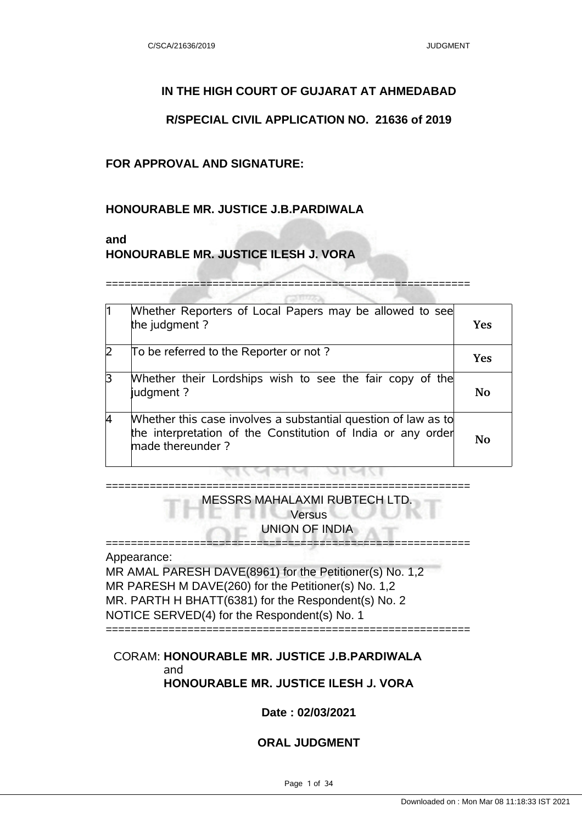# **IN THE HIGH COURT OF GUJARAT AT AHMEDABAD**

## **R/SPECIAL CIVIL APPLICATION NO. 21636 of 2019**

## **FOR APPROVAL AND SIGNATURE:**

#### **HONOURABLE MR. JUSTICE J.B.PARDIWALA**

#### **and**

# **HONOURABLE MR. JUSTICE ILESH J. VORA**

| Whether Reporters of Local Papers may be allowed to see<br>the judgment?                                                                           | Yes                    |
|----------------------------------------------------------------------------------------------------------------------------------------------------|------------------------|
| To be referred to the Reporter or not?                                                                                                             | Yes                    |
| Whether their Lordships wish to see the fair copy of the<br>judgment?                                                                              | <b>No</b>              |
| Whether this case involves a substantial question of law as to<br>the interpretation of the Constitution of India or any order<br>made thereunder? | $\mathbf{N}\mathbf{O}$ |

# MESSRS MAHALAXMI RUBTECH LTD. **Versus** UNION OF INDIA

==========================================================

чтч

==========================================================

Appearance:

MR AMAL PARESH DAVE(8961) for the Petitioner(s) No. 1,2 MR PARESH M DAVE(260) for the Petitioner(s) No. 1,2 MR. PARTH H BHATT(6381) for the Respondent(s) No. 2 NOTICE SERVED(4) for the Respondent(s) No. 1

==========================================================

#### CORAM: **HONOURABLE MR. JUSTICE J.B.PARDIWALA** and **HONOURABLE MR. JUSTICE ILESH J. VORA**

#### **Date : 02/03/2021**

# **ORAL JUDGMENT**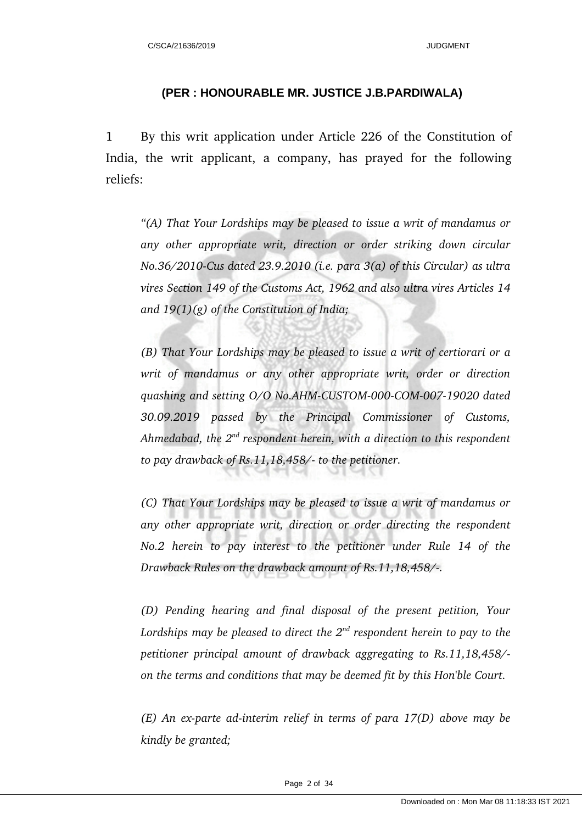# **(PER : HONOURABLE MR. JUSTICE J.B.PARDIWALA)**

1 By this writ application under Article 226 of the Constitution of India, the writ applicant, a company, has prayed for the following reliefs:

*"(A) That Your Lordships may be pleased to issue a writ of mandamus or any other appropriate writ, direction or order striking down circular No.36/2010-Cus dated 23.9.2010 (i.e. para 3(a) of this Circular) as ultra vires Section 149 of the Customs Act, 1962 and also ultra vires Articles 14 and 19(1)(g) of the Constitution of India;*

*(B) That Your Lordships may be pleased to issue a writ of certiorari or a writ of mandamus or any other appropriate writ, order or direction* quashing and setting O/O No.AHM-CUSTOM-000-COM-007-19020 dated *30.09.2019 passed by the Principal Commissioner of Customs, Ahmedabad, the 2nd respondent herein, with a direction to this respondent to pay drawback of Rs.11,18,458/ to the petitioner.* 

*(C) That Your Lordships may be pleased to issue a writ of mandamus or any other appropriate writ, direction or order directing the respondent No.2 herein to pay interest to the petitioner under Rule 14 of the Drawback Rules on the drawback amount of Rs.11,18,458/.*

*(D) Pending hearing and final disposal of the present petition, Your Lordships may be pleased to direct the 2nd respondent herein to pay to the petitioner principal amount of drawback aggregating to Rs.11,18,458/ on the terms and conditions that may be deemed fit by this Hon'ble Court.*

*(E)* An ex-parte ad-interim relief in terms of para 17(D) above may be *kindly be granted;*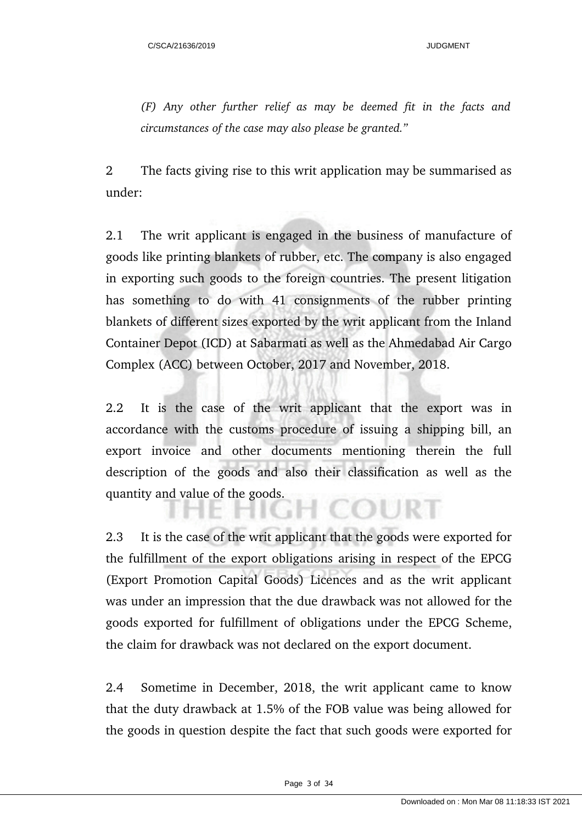*(F) Any other further relief as may be deemed fit in the facts and circumstances of the case may also please be granted."*

2 The facts giving rise to this writ application may be summarised as under:

2.1 The writ applicant is engaged in the business of manufacture of goods like printing blankets of rubber, etc. The company is also engaged in exporting such goods to the foreign countries. The present litigation has something to do with 41 consignments of the rubber printing blankets of different sizes exported by the writ applicant from the Inland Container Depot (ICD) at Sabarmati as well as the Ahmedabad Air Cargo Complex (ACC) between October, 2017 and November, 2018.

2.2 It is the case of the writ applicant that the export was in accordance with the customs procedure of issuing a shipping bill, an export invoice and other documents mentioning therein the full description of the goods and also their classification as well as the quantity and value of the goods. COURT

2.3 It is the case of the writ applicant that the goods were exported for the fulfillment of the export obligations arising in respect of the EPCG (Export Promotion Capital Goods) Licences and as the writ applicant was under an impression that the due drawback was not allowed for the goods exported for fulfillment of obligations under the EPCG Scheme, the claim for drawback was not declared on the export document.

2.4 Sometime in December, 2018, the writ applicant came to know that the duty drawback at 1.5% of the FOB value was being allowed for the goods in question despite the fact that such goods were exported for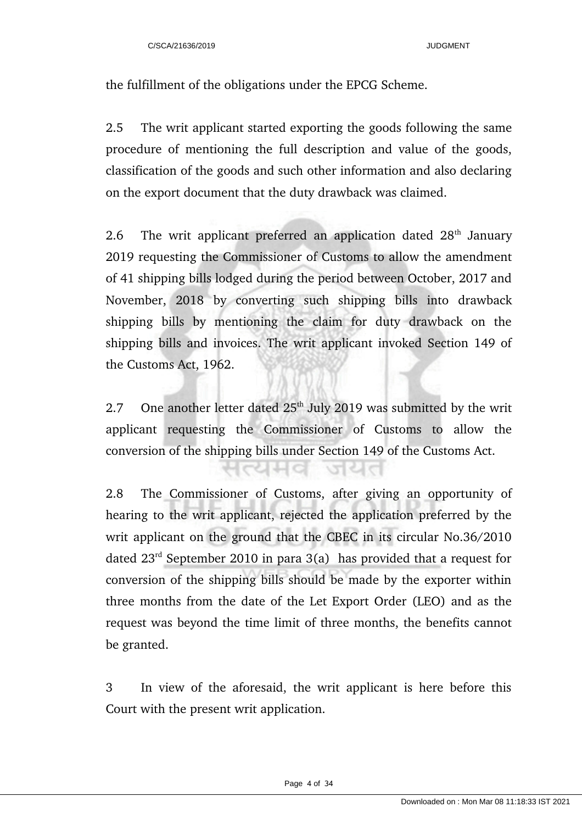the fulfillment of the obligations under the EPCG Scheme.

2.5 The writ applicant started exporting the goods following the same procedure of mentioning the full description and value of the goods, classification of the goods and such other information and also declaring on the export document that the duty drawback was claimed.

2.6 The writ applicant preferred an application dated  $28<sup>th</sup>$  January 2019 requesting the Commissioner of Customs to allow the amendment of 41 shipping bills lodged during the period between October, 2017 and November, 2018 by converting such shipping bills into drawback shipping bills by mentioning the claim for duty drawback on the shipping bills and invoices. The writ applicant invoked Section 149 of the Customs Act, 1962.

2.7 One another letter dated  $25<sup>th</sup>$  July 2019 was submitted by the writ applicant requesting the Commissioner of Customs to allow the conversion of the shipping bills under Section 149 of the Customs Act.

जय

2.8 The Commissioner of Customs, after giving an opportunity of hearing to the writ applicant, rejected the application preferred by the writ applicant on the ground that the CBEC in its circular No.36/2010 dated  $23<sup>rd</sup>$  September 2010 in para 3(a) has provided that a request for conversion of the shipping bills should be made by the exporter within three months from the date of the Let Export Order (LEO) and as the request was beyond the time limit of three months, the benefits cannot be granted.

3 In view of the aforesaid, the writ applicant is here before this Court with the present writ application.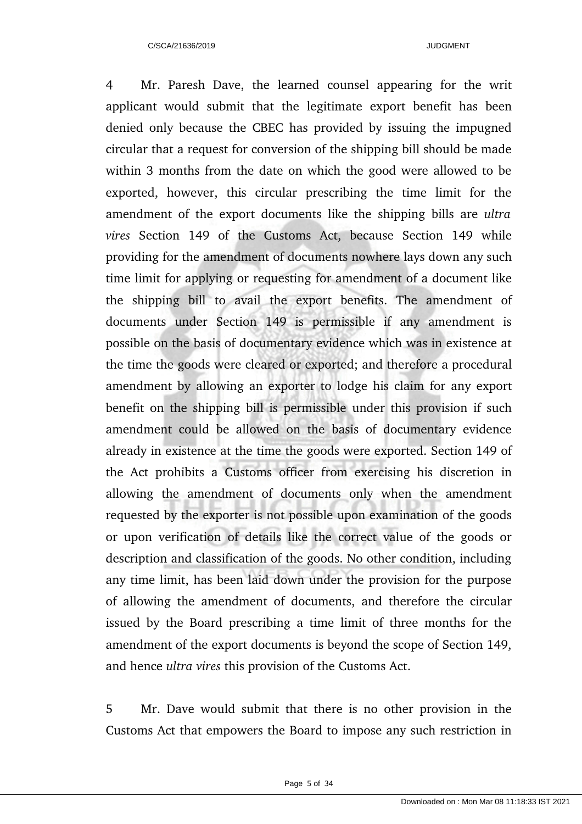4 Mr. Paresh Dave, the learned counsel appearing for the writ applicant would submit that the legitimate export benefit has been denied only because the CBEC has provided by issuing the impugned circular that a request for conversion of the shipping bill should be made within 3 months from the date on which the good were allowed to be exported, however, this circular prescribing the time limit for the amendment of the export documents like the shipping bills are *ultra vires* Section 149 of the Customs Act, because Section 149 while providing for the amendment of documents nowhere lays down any such time limit for applying or requesting for amendment of a document like the shipping bill to avail the export benefits. The amendment of documents under Section 149 is permissible if any amendment is possible on the basis of documentary evidence which was in existence at the time the goods were cleared or exported; and therefore a procedural amendment by allowing an exporter to lodge his claim for any export benefit on the shipping bill is permissible under this provision if such amendment could be allowed on the basis of documentary evidence already in existence at the time the goods were exported. Section 149 of the Act prohibits a Customs officer from exercising his discretion in allowing the amendment of documents only when the amendment requested by the exporter is not possible upon examination of the goods or upon verification of details like the correct value of the goods or description and classification of the goods. No other condition, including any time limit, has been laid down under the provision for the purpose of allowing the amendment of documents, and therefore the circular issued by the Board prescribing a time limit of three months for the amendment of the export documents is beyond the scope of Section 149, and hence *ultra vires* this provision of the Customs Act.

5 Mr. Dave would submit that there is no other provision in the Customs Act that empowers the Board to impose any such restriction in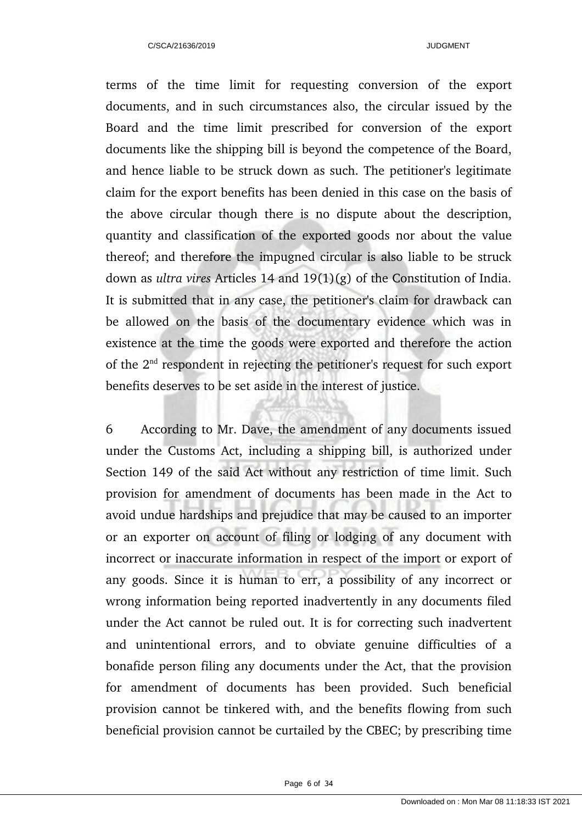terms of the time limit for requesting conversion of the export documents, and in such circumstances also, the circular issued by the Board and the time limit prescribed for conversion of the export documents like the shipping bill is beyond the competence of the Board, and hence liable to be struck down as such. The petitioner's legitimate claim for the export benefits has been denied in this case on the basis of the above circular though there is no dispute about the description, quantity and classification of the exported goods nor about the value thereof; and therefore the impugned circular is also liable to be struck down as *ultra vires* Articles 14 and 19(1)(g) of the Constitution of India. It is submitted that in any case, the petitioner's claim for drawback can be allowed on the basis of the documentary evidence which was in existence at the time the goods were exported and therefore the action of the  $2<sup>nd</sup>$  respondent in rejecting the petitioner's request for such export benefits deserves to be set aside in the interest of justice.

6 According to Mr. Dave, the amendment of any documents issued under the Customs Act, including a shipping bill, is authorized under Section 149 of the said Act without any restriction of time limit. Such provision for amendment of documents has been made in the Act to avoid undue hardships and prejudice that may be caused to an importer or an exporter on account of filing or lodging of any document with incorrect or inaccurate information in respect of the import or export of any goods. Since it is human to err, a possibility of any incorrect or wrong information being reported inadvertently in any documents filed under the Act cannot be ruled out. It is for correcting such inadvertent and unintentional errors, and to obviate genuine difficulties of a bonafide person filing any documents under the Act, that the provision for amendment of documents has been provided. Such beneficial provision cannot be tinkered with, and the benefits flowing from such beneficial provision cannot be curtailed by the CBEC; by prescribing time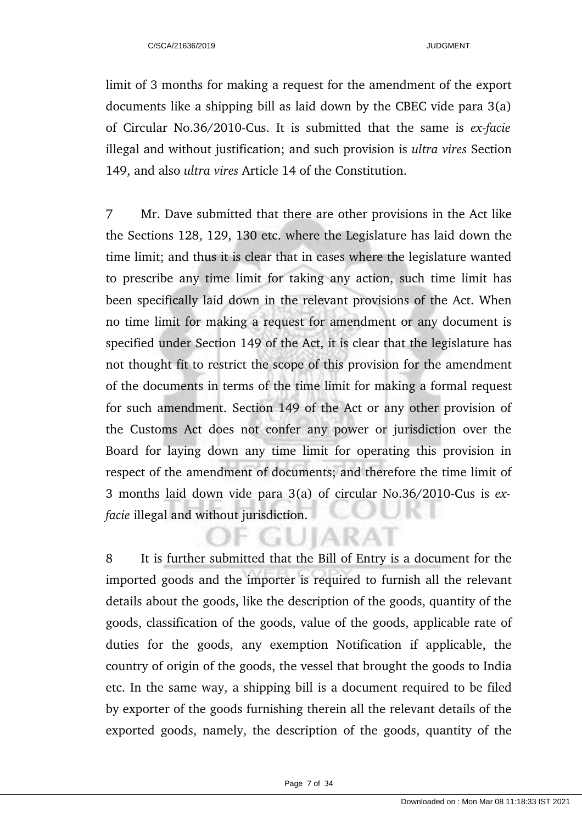limit of 3 months for making a request for the amendment of the export documents like a shipping bill as laid down by the CBEC vide para 3(a) of Circular No.36/2010-Cus. It is submitted that the same is ex-facie illegal and without justification; and such provision is *ultra vires* Section 149, and also *ultra vires* Article 14 of the Constitution.

7 Mr. Dave submitted that there are other provisions in the Act like the Sections 128, 129, 130 etc. where the Legislature has laid down the time limit; and thus it is clear that in cases where the legislature wanted to prescribe any time limit for taking any action, such time limit has been specifically laid down in the relevant provisions of the Act. When no time limit for making a request for amendment or any document is specified under Section 149 of the Act, it is clear that the legislature has not thought fit to restrict the scope of this provision for the amendment of the documents in terms of the time limit for making a formal request for such amendment. Section 149 of the Act or any other provision of the Customs Act does not confer any power or jurisdiction over the Board for laying down any time limit for operating this provision in respect of the amendment of documents; and therefore the time limit of 3 months laid down vide para 3(a) of circular No.36/2010-Cus is ex*facie* illegal and without jurisdiction.

8 It is further submitted that the Bill of Entry is a document for the imported goods and the importer is required to furnish all the relevant details about the goods, like the description of the goods, quantity of the goods, classification of the goods, value of the goods, applicable rate of duties for the goods, any exemption Notification if applicable, the country of origin of the goods, the vessel that brought the goods to India etc. In the same way, a shipping bill is a document required to be filed by exporter of the goods furnishing therein all the relevant details of the exported goods, namely, the description of the goods, quantity of the

a t

**JIARA**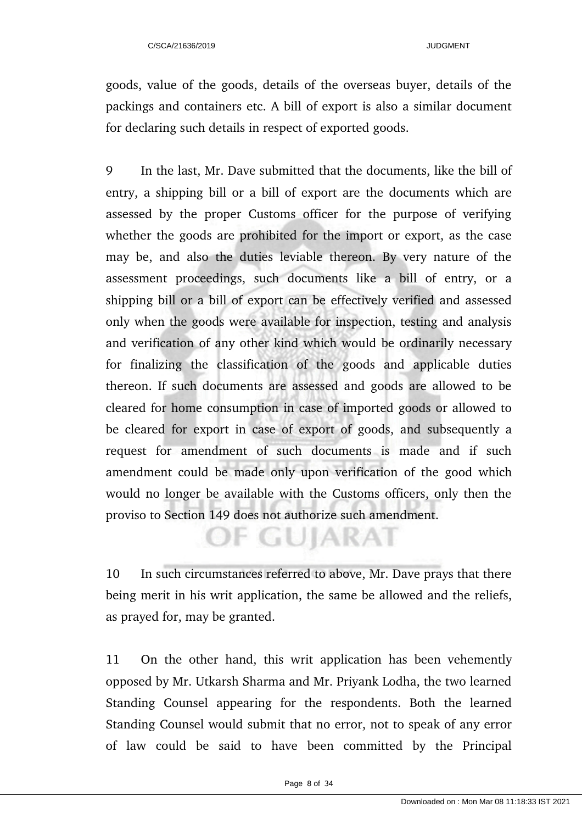goods, value of the goods, details of the overseas buyer, details of the packings and containers etc. A bill of export is also a similar document for declaring such details in respect of exported goods.

9 In the last, Mr. Dave submitted that the documents, like the bill of entry, a shipping bill or a bill of export are the documents which are assessed by the proper Customs officer for the purpose of verifying whether the goods are prohibited for the import or export, as the case may be, and also the duties leviable thereon. By very nature of the assessment proceedings, such documents like a bill of entry, or a shipping bill or a bill of export can be effectively verified and assessed only when the goods were available for inspection, testing and analysis and verification of any other kind which would be ordinarily necessary for finalizing the classification of the goods and applicable duties thereon. If such documents are assessed and goods are allowed to be cleared for home consumption in case of imported goods or allowed to be cleared for export in case of export of goods, and subsequently a request for amendment of such documents is made and if such amendment could be made only upon verification of the good which would no longer be available with the Customs officers, only then the proviso to Section 149 does not authorize such amendment.

# OF GUJARAT

10 In such circumstances referred to above, Mr. Dave prays that there being merit in his writ application, the same be allowed and the reliefs, as prayed for, may be granted.

11 On the other hand, this writ application has been vehemently opposed by Mr. Utkarsh Sharma and Mr. Priyank Lodha, the two learned Standing Counsel appearing for the respondents. Both the learned Standing Counsel would submit that no error, not to speak of any error of law could be said to have been committed by the Principal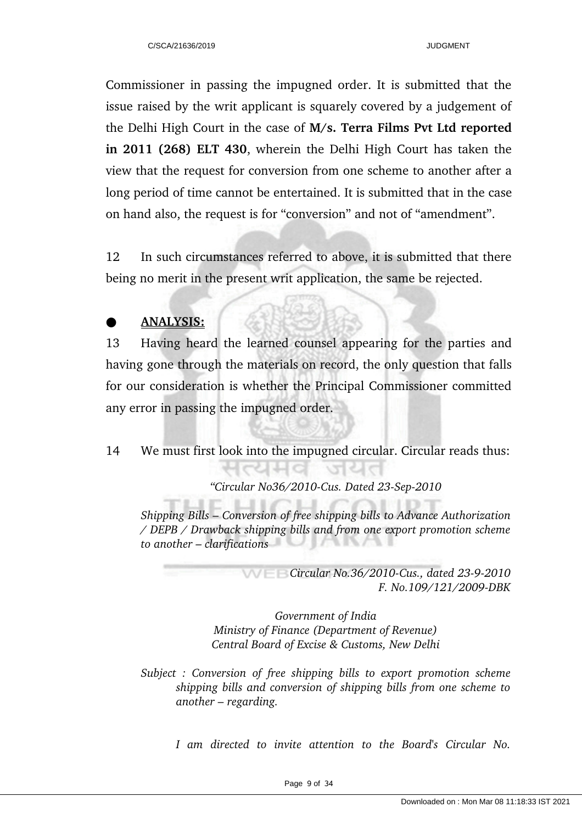Commissioner in passing the impugned order. It is submitted that the issue raised by the writ applicant is squarely covered by a judgement of the Delhi High Court in the case of **M/s. Terra Films Pvt Ltd reported in 2011 (268) ELT 430**, wherein the Delhi High Court has taken the view that the request for conversion from one scheme to another after a long period of time cannot be entertained. It is submitted that in the case on hand also, the request is for "conversion" and not of "amendment".

12 In such circumstances referred to above, it is submitted that there being no merit in the present writ application, the same be rejected.

# ●  **ANALYSIS:**

13 Having heard the learned counsel appearing for the parties and having gone through the materials on record, the only question that falls for our consideration is whether the Principal Commissioner committed any error in passing the impugned order.

14 We must first look into the impugned circular. Circular reads thus:

*"Circular No36/2010-Cus. Dated 23-Sep-2010* 

*Shipping Bills – Conversion of free shipping bills to Advance Authorization / DEPB / Drawback shipping bills and from one export promotion scheme to another – clarifications*

> *Circular No.36/2010Cus., dated 2392010 F. No.109/121/2009-DBK*

*Government of India Ministry of Finance (Department of Revenue) Central Board of Excise & Customs, New Delhi*

*Subject : Conversion of free shipping bills to export promotion scheme shipping bills and conversion of shipping bills from one scheme to another – regarding.* 

*I am directed to invite attention to the Board's Circular No.*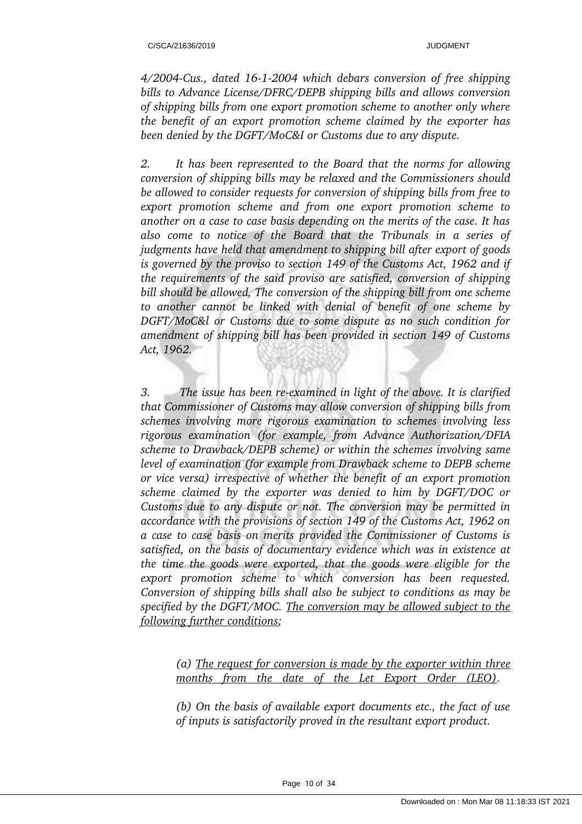*4/2004Cus., dated 1612004 which debars conversion of free shipping bills to Advance License/DFRC/DEPB shipping bills and allows conversion of shipping bills from one export promotion scheme to another only where the benefit of an export promotion scheme claimed by the exporter has been denied by the DGFT/MoC&I or Customs due to any dispute.*

*2. It has been represented to the Board that the norms for allowing conversion of shipping bills may be relaxed and the Commissioners should be allowed to consider requests for conversion of shipping bills from free to export promotion scheme and from one export promotion scheme to another on a case to case basis depending on the merits of the case. It has also come to notice of the Board that the Tribunals in a series of judgments have held that amendment to shipping bill after export of goods is governed by the proviso to section 149 of the Customs Act, 1962 and if the requirements of the said proviso are satisfied, conversion of shipping bill should be allowed, The conversion of the shipping bill from one scheme to another cannot be linked with denial of benefit of one scheme by DGFT/MoC&l or Customs due to some dispute as no such condition for amendment of shipping bill has been provided in section 149 of Customs Act, 1962.*

*3. The issue has been reexamined in light of the above. It is clarified that Commissioner of Customs may allow conversion of shipping bills from schemes involving more rigorous examination to schemes involving less rigorous examination (for example, from Advance Authorization/DFIA scheme to Drawback/DEPB scheme) or within the schemes involving same level of examination (for example from Drawback scheme to DEPB scheme or vice versa) irrespective of whether the benefit of an export promotion scheme claimed by the exporter was denied to him by DGFT/DOC or Customs due to any dispute or not. The conversion may be permitted in accordance with the provisions of section 149 of the Customs Act, 1962 on a case to case basis on merits provided the Commissioner of Customs is satisfied, on the basis of documentary evidence which was in existence at the time the goods were exported, that the goods were eligible for the export promotion scheme to which conversion has been requested. Conversion of shipping bills shall also be subject to conditions as may be specified by the DGFT/MOC. The conversion may be allowed subject to the following further conditions;*

*(a) The request for conversion is made by the exporter within three months from the date of the Let Export Order (LEO).* 

*(b) On the basis of available export documents etc., the fact of use of inputs is satisfactorily proved in the resultant export product.*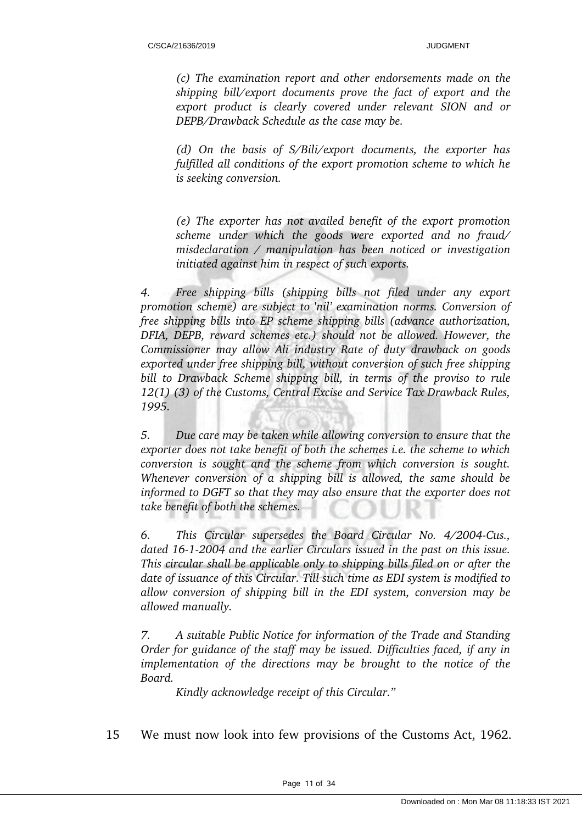*(c) The examination report and other endorsements made on the shipping bill/export documents prove the fact of export and the export product is clearly covered under relevant SION and or DEPB/Drawback Schedule as the case may be.*

*(d) On the basis of S/Bili/export documents, the exporter has fulfilled all conditions of the export promotion scheme to which he is seeking conversion.*

*(e) The exporter has not availed benefit of the export promotion scheme under which the goods were exported and no fraud/ misdeclaration / manipulation has been noticed or investigation initiated against him in respect of such exports.*

*4. Free shipping bills (shipping bills not filed under any export promotion scheme) are subject to 'nil' examination norms. Conversion of free shipping bills into EP scheme shipping bills (advance authorization, DFIA, DEPB, reward schemes etc.) should not be allowed. However, the Commissioner may allow Ali industry Rate of duty drawback on goods exported under free shipping bill, without conversion of such free shipping bill to Drawback Scheme shipping bill, in terms of the proviso to rule 12(1) (3) of the Customs, Central Excise and Service Tax Drawback Rules, 1995.* 

*5. Due care may be taken while allowing conversion to ensure that the exporter does not take benefit of both the schemes i.e. the scheme to which conversion is sought and the scheme from which conversion is sought. Whenever conversion of a shipping bill is allowed, the same should be informed to DGFT so that they may also ensure that the exporter does not take benefit of both the schemes.*

6. This Circular supersedes the Board Circular No. 4/2004-Cus., *dated 1612004 and the earlier Circulars issued in the past on this issue. This circular shall be applicable only to shipping bills filed on or after the date of issuance of this Circular. Till such time as EDI system is modified to allow conversion of shipping bill in the EDI system, conversion may be allowed manually.*

*7. A suitable Public Notice for information of the Trade and Standing Order for guidance of the staff may be issued. Difficulties faced, if any in implementation of the directions may be brought to the notice of the Board.*

*Kindly acknowledge receipt of this Circular."*

15 We must now look into few provisions of the Customs Act, 1962.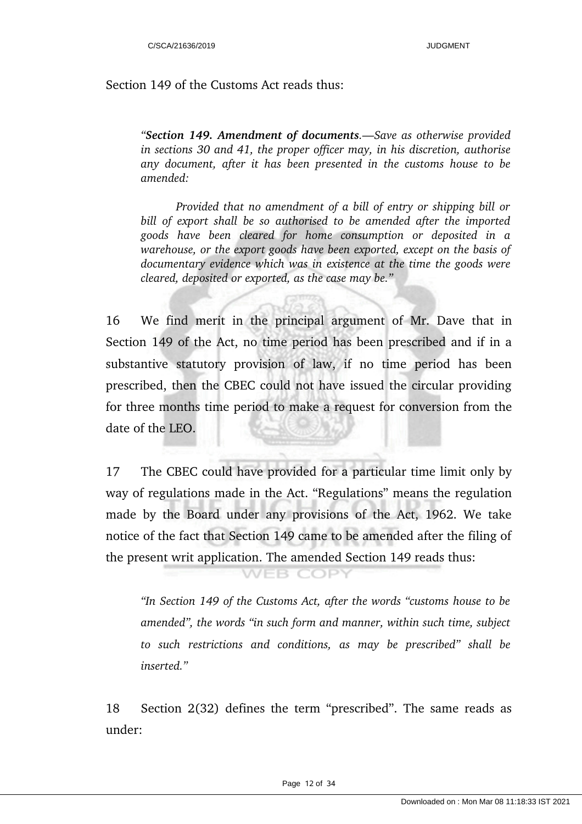Section 149 of the Customs Act reads thus:

*"Section 149. Amendment of documents.—Save as otherwise provided in sections 30 and 41, the proper officer may, in his discretion, authorise any document, after it has been presented in the customs house to be amended:* 

*Provided that no amendment of a bill of entry or shipping bill or bill of export shall be so authorised to be amended after the imported goods have been cleared for home consumption or deposited in a warehouse, or the export goods have been exported, except on the basis of documentary evidence which was in existence at the time the goods were cleared, deposited or exported, as the case may be."*

16 We find merit in the principal argument of Mr. Dave that in Section 149 of the Act, no time period has been prescribed and if in a substantive statutory provision of law, if no time period has been prescribed, then the CBEC could not have issued the circular providing for three months time period to make a request for conversion from the date of the LEO.

17 The CBEC could have provided for a particular time limit only by way of regulations made in the Act. "Regulations" means the regulation made by the Board under any provisions of the Act, 1962. We take notice of the fact that Section 149 came to be amended after the filing of the present writ application. The amended Section 149 reads thus:

*"In Section 149 of the Customs Act, after the words "customs house to be amended", the words "in such form and manner, within such time, subject to such restrictions and conditions, as may be prescribed" shall be inserted."*

18 Section 2(32) defines the term "prescribed". The same reads as under: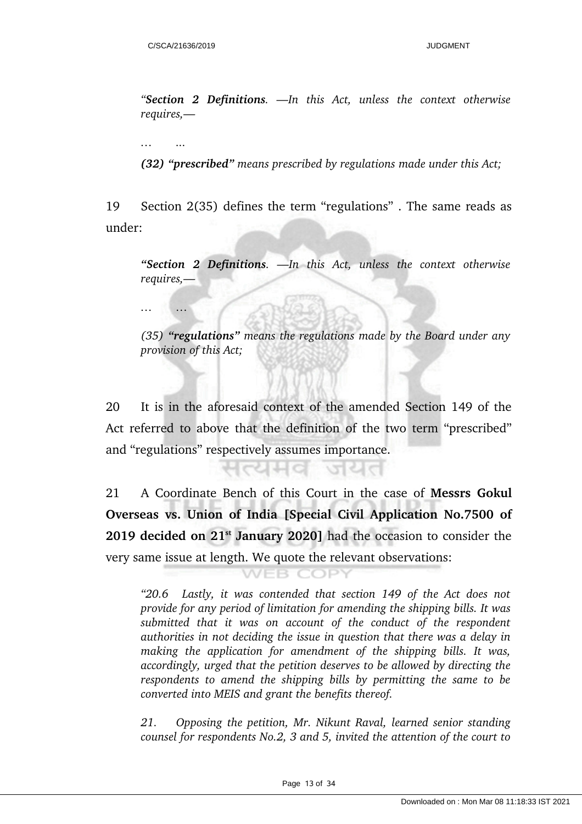*… ...*

*… …*

*"Section 2 Definitions. —In this Act, unless the context otherwise requires,—*

*(32) "prescribed" means prescribed by regulations made under this Act;*

19 Section 2(35) defines the term "regulations" . The same reads as under:

*"Section 2 Definitions. —In this Act, unless the context otherwise requires,—*

*(35) "regulations" means the regulations made by the Board under any provision of this Act;*

20 It is in the aforesaid context of the amended Section 149 of the Act referred to above that the definition of the two term "prescribed" and "regulations" respectively assumes importance.

21 A Coordinate Bench of this Court in the case of **Messrs Gokul Overseas vs. Union of India [Special Civil Application No.7500 of 2019 decided on 21st January 2020]** had the occasion to consider the very same issue at length. We quote the relevant observations:

*"20.6 Lastly, it was contended that section 149 of the Act does not provide for any period of limitation for amending the shipping bills. It was submitted that it was on account of the conduct of the respondent authorities in not deciding the issue in question that there was a delay in making the application for amendment of the shipping bills. It was, accordingly, urged that the petition deserves to be allowed by directing the respondents to amend the shipping bills by permitting the same to be converted into MEIS and grant the benefits thereof.*

*21. Opposing the petition, Mr. Nikunt Raval, learned senior standing counsel for respondents No.2, 3 and 5, invited the attention of the court to*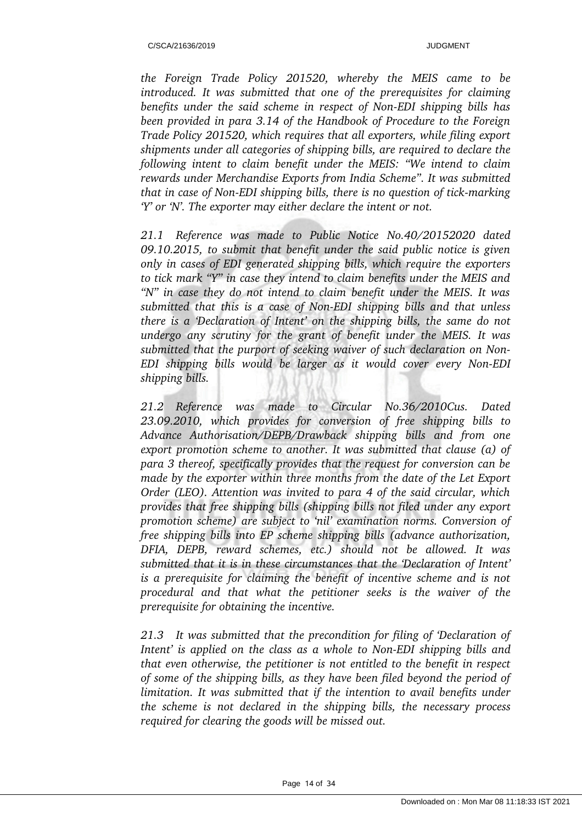*the Foreign Trade Policy 201520, whereby the MEIS came to be introduced. It was submitted that one of the prerequisites for claiming benefits under the said scheme in respect of Non-EDI shipping bills has been provided in para 3.14 of the Handbook of Procedure to the Foreign Trade Policy 201520, which requires that all exporters, while filing export shipments under all categories of shipping bills, are required to declare the following intent to claim benefit under the MEIS: "We intend to claim rewards under Merchandise Exports from India Scheme". It was submitted that in case of Non-EDI shipping bills, there is no question of tick-marking 'Y' or 'N'. The exporter may either declare the intent or not.*

*21.1 Reference was made to Public Notice No.40/20152020 dated 09.10.2015, to submit that benefit under the said public notice is given only in cases of EDI generated shipping bills, which require the exporters to tick mark "Y" in case they intend to claim benefits under the MEIS and "N" in case they do not intend to claim benefit under the MEIS. It was submitted that this is a case of NonEDI shipping bills and that unless there is a 'Declaration of Intent' on the shipping bills, the same do not undergo any scrutiny for the grant of benefit under the MEIS. It was submitted that the purport of seeking waiver of such declaration on Non-EDI shipping bills would be larger as it would cover every NonEDI shipping bills.*

*21.2 Reference was made to Circular No.36/2010Cus. Dated 23.09.2010, which provides for conversion of free shipping bills to Advance Authorisation/DEPB/Drawback shipping bills and from one export promotion scheme to another. It was submitted that clause (a) of para 3 thereof, specifically provides that the request for conversion can be made by the exporter within three months from the date of the Let Export Order (LEO). Attention was invited to para 4 of the said circular, which provides that free shipping bills (shipping bills not filed under any export promotion scheme) are subject to 'nil' examination norms. Conversion of free shipping bills into EP scheme shipping bills (advance authorization, DFIA, DEPB, reward schemes, etc.) should not be allowed. It was submitted that it is in these circumstances that the 'Declaration of Intent' is a prerequisite for claiming the benefit of incentive scheme and is not procedural and that what the petitioner seeks is the waiver of the prerequisite for obtaining the incentive.*

*21.3 It was submitted that the precondition for filing of 'Declaration of Intent' is applied on the class as a whole to Non-EDI shipping bills and that even otherwise, the petitioner is not entitled to the benefit in respect of some of the shipping bills, as they have been filed beyond the period of limitation. It was submitted that if the intention to avail benefits under the scheme is not declared in the shipping bills, the necessary process required for clearing the goods will be missed out.*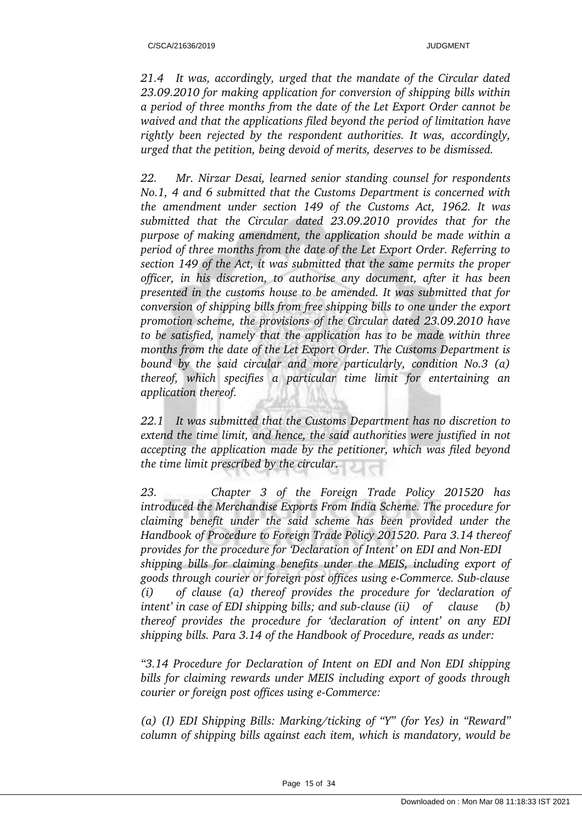*21.4 It was, accordingly, urged that the mandate of the Circular dated 23.09.2010 for making application for conversion of shipping bills within a period of three months from the date of the Let Export Order cannot be waived and that the applications filed beyond the period of limitation have rightly been rejected by the respondent authorities. It was, accordingly, urged that the petition, being devoid of merits, deserves to be dismissed.*

*22. Mr. Nirzar Desai, learned senior standing counsel for respondents No.1, 4 and 6 submitted that the Customs Department is concerned with the amendment under section 149 of the Customs Act, 1962. It was submitted that the Circular dated 23.09.2010 provides that for the purpose of making amendment, the application should be made within a period of three months from the date of the Let Export Order. Referring to section 149 of the Act, it was submitted that the same permits the proper officer, in his discretion, to authorise any document, after it has been presented in the customs house to be amended. It was submitted that for conversion of shipping bills from free shipping bills to one under the export promotion scheme, the provisions of the Circular dated 23.09.2010 have to be satisfied, namely that the application has to be made within three months from the date of the Let Export Order. The Customs Department is bound by the said circular and more particularly, condition No.3 (a) thereof, which specifies a particular time limit for entertaining an application thereof.*

*22.1 It was submitted that the Customs Department has no discretion to extend the time limit, and hence, the said authorities were justified in not accepting the application made by the petitioner, which was filed beyond the time limit prescribed by the circular.*

*23. Chapter 3 of the Foreign Trade Policy 201520 has introduced the Merchandise Exports From India Scheme. The procedure for claiming benefit under the said scheme has been provided under the Handbook of Procedure to Foreign Trade Policy 201520. Para 3.14 thereof provides for the procedure for 'Declaration of Intent' on EDI and Non-EDI shipping bills for claiming benefits under the MEIS, including export of goods through courier or foreign post offices using eCommerce. Subclause (i) of clause (a) thereof provides the procedure for 'declaration of intent' in case of EDI shipping bills; and sub-clause (ii) of clause (b) thereof provides the procedure for 'declaration of intent' on any EDI shipping bills. Para 3.14 of the Handbook of Procedure, reads as under:*

*"3.14 Procedure for Declaration of Intent on EDI and Non EDI shipping bills for claiming rewards under MEIS including export of goods through courier or foreign post offices using e-Commerce:* 

*(a) (I) EDI Shipping Bills: Marking/ticking of "Y" (for Yes) in "Reward" column of shipping bills against each item, which is mandatory, would be*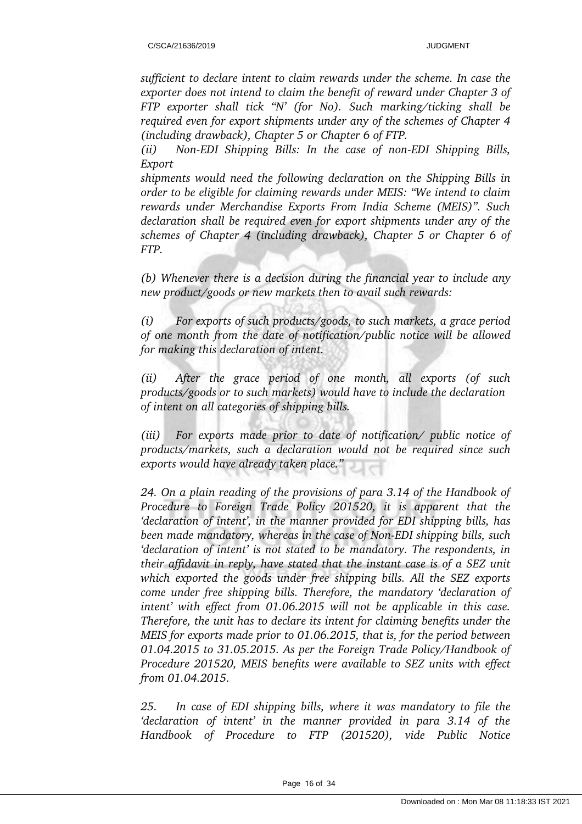*sufficient to declare intent to claim rewards under the scheme. In case the exporter does not intend to claim the benefit of reward under Chapter 3 of FTP exporter shall tick "N' (for No). Such marking/ticking shall be required even for export shipments under any of the schemes of Chapter 4 (including drawback), Chapter 5 or Chapter 6 of FTP.*

*(ii) Non-EDI Shipping Bills: In the case of non-EDI Shipping Bills, Export*

*shipments would need the following declaration on the Shipping Bills in order to be eligible for claiming rewards under MEIS: "We intend to claim rewards under Merchandise Exports From India Scheme (MEIS)". Such declaration shall be required even for export shipments under any of the schemes of Chapter 4 (including drawback), Chapter 5 or Chapter 6 of FTP.*

*(b) Whenever there is a decision during the financial year to include any new product/goods or new markets then to avail such rewards:*

*(i) For exports of such products/goods, to such markets, a grace period of one month from the date of notification/public notice will be allowed for making this declaration of intent.*

*(ii) After the grace period of one month, all exports (of such products/goods or to such markets) would have to include the declaration of intent on all categories of shipping bills.*

*(iii) For exports made prior to date of notification/ public notice of products/markets, such a declaration would not be required since such exports would have already taken place."*

*24. On a plain reading of the provisions of para 3.14 of the Handbook of Procedure to Foreign Trade Policy 201520, it is apparent that the 'declaration of intent', in the manner provided for EDI shipping bills, has been made mandatory, whereas in the case of NonEDI shipping bills, such 'declaration of intent' is not stated to be mandatory. The respondents, in their affidavit in reply, have stated that the instant case is of a SEZ unit which exported the goods under free shipping bills. All the SEZ exports come under free shipping bills. Therefore, the mandatory 'declaration of intent' with effect from 01.06.2015 will not be applicable in this case. Therefore, the unit has to declare its intent for claiming benefits under the MEIS for exports made prior to 01.06.2015, that is, for the period between 01.04.2015 to 31.05.2015. As per the Foreign Trade Policy/Handbook of Procedure 201520, MEIS benefits were available to SEZ units with effect from 01.04.2015.*

*25. In case of EDI shipping bills, where it was mandatory to file the 'declaration of intent' in the manner provided in para 3.14 of the Handbook of Procedure to FTP (201520), vide Public Notice*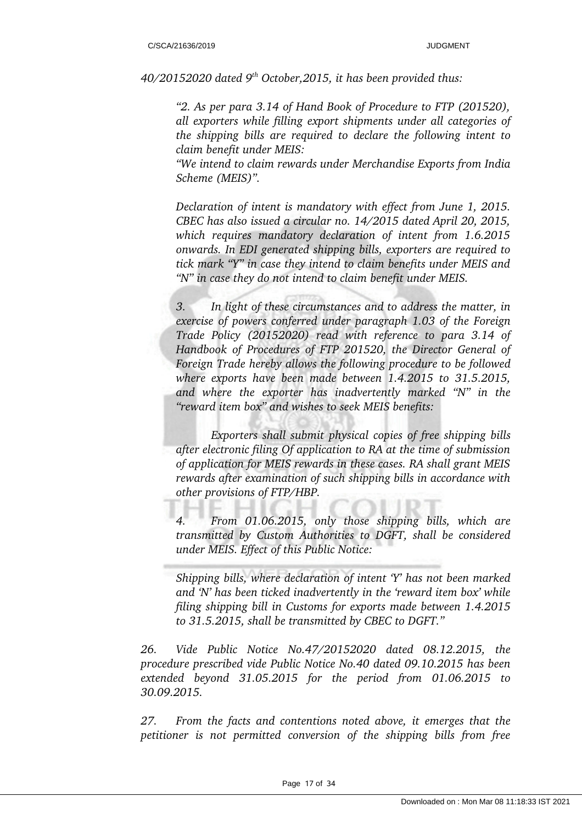*40/20152020 dated 9th October,2015, it has been provided thus:*

*"2. As per para 3.14 of Hand Book of Procedure to FTP (201520), all exporters while filling export shipments under all categories of the shipping bills are required to declare the following intent to claim benefit under MEIS:*

*"We intend to claim rewards under Merchandise Exports from India Scheme (MEIS)".*

*Declaration of intent is mandatory with effect from June 1, 2015. CBEC has also issued a circular no. 14/2015 dated April 20, 2015, which requires mandatory declaration of intent from 1.6.2015 onwards. In EDI generated shipping bills, exporters are required to tick mark "Y" in case they intend to claim benefits under MEIS and "N" in case they do not intend to claim benefit under MEIS.*

*3. In light of these circumstances and to address the matter, in exercise of powers conferred under paragraph 1.03 of the Foreign Trade Policy (20152020) read with reference to para 3.14 of Handbook of Procedures of FTP 201520, the Director General of Foreign Trade hereby allows the following procedure to be followed where exports have been made between 1.4.2015 to 31.5.2015, and where the exporter has inadvertently marked "N" in the "reward item box" and wishes to seek MEIS benefits:* 

*Exporters shall submit physical copies of free shipping bills after electronic filing Of application to RA at the time of submission of application for MEIS rewards in these cases. RA shall grant MEIS rewards after examination of such shipping bills in accordance with other provisions of FTP/HBP.*

*4. From 01.06.2015, only those shipping bills, which are transmitted by Custom Authorities to DGFT, shall be considered under MEIS. Effect of this Public Notice:*

*Shipping bills, where declaration of intent 'Y' has not been marked and 'N' has been ticked inadvertently in the 'reward item box' while filing shipping bill in Customs for exports made between 1.4.2015 to 31.5.2015, shall be transmitted by CBEC to DGFT."*

*26. Vide Public Notice No.47/20152020 dated 08.12.2015, the procedure prescribed vide Public Notice No.40 dated 09.10.2015 has been extended beyond 31.05.2015 for the period from 01.06.2015 to 30.09.2015.*

*27. From the facts and contentions noted above, it emerges that the petitioner is not permitted conversion of the shipping bills from free*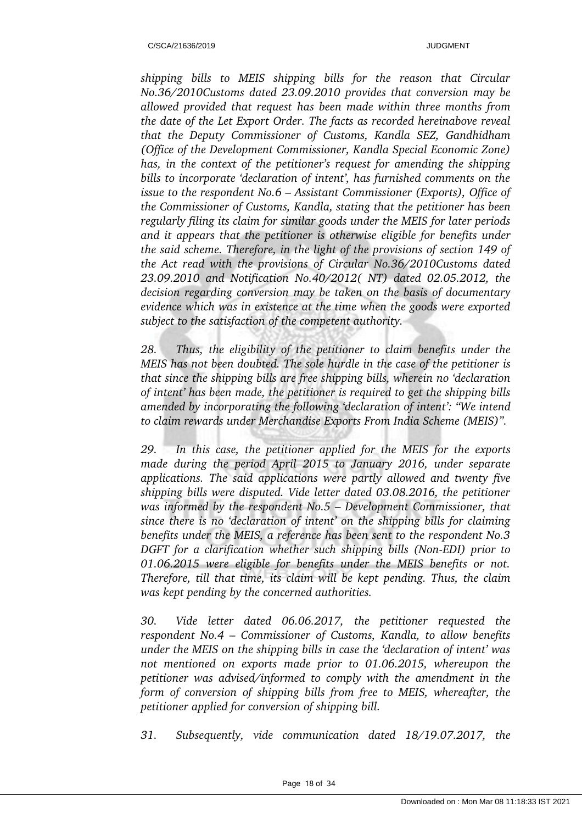*shipping bills to MEIS shipping bills for the reason that Circular No.36/2010Customs dated 23.09.2010 provides that conversion may be allowed provided that request has been made within three months from the date of the Let Export Order. The facts as recorded hereinabove reveal that the Deputy Commissioner of Customs, Kandla SEZ, Gandhidham (Office of the Development Commissioner, Kandla Special Economic Zone) has, in the context of the petitioner's request for amending the shipping bills to incorporate 'declaration of intent', has furnished comments on the issue to the respondent No.6 – Assistant Commissioner (Exports), Office of the Commissioner of Customs, Kandla, stating that the petitioner has been regularly filing its claim for similar goods under the MEIS for later periods and it appears that the petitioner is otherwise eligible for benefits under the said scheme. Therefore, in the light of the provisions of section 149 of the Act read with the provisions of Circular No.36/2010Customs dated 23.09.2010 and Notification No.40/2012( NT) dated 02.05.2012, the decision regarding conversion may be taken on the basis of documentary evidence which was in existence at the time when the goods were exported subject to the satisfaction of the competent authority.*

*28. Thus, the eligibility of the petitioner to claim benefits under the MEIS has not been doubted. The sole hurdle in the case of the petitioner is that since the shipping bills are free shipping bills, wherein no 'declaration of intent' has been made, the petitioner is required to get the shipping bills amended by incorporating the following 'declaration of intent': "We intend to claim rewards under Merchandise Exports From India Scheme (MEIS)".*

*29. In this case, the petitioner applied for the MEIS for the exports made during the period April 2015 to January 2016, under separate applications. The said applications were partly allowed and twenty five shipping bills were disputed. Vide letter dated 03.08.2016, the petitioner was informed by the respondent No.5 – Development Commissioner, that since there is no 'declaration of intent' on the shipping bills for claiming benefits under the MEIS, a reference has been sent to the respondent No.3 DGFT for a clarification whether such shipping bills (NonEDI) prior to 01.06.2015 were eligible for benefits under the MEIS benefits or not. Therefore, till that time, its claim will be kept pending. Thus, the claim was kept pending by the concerned authorities.*

*30. Vide letter dated 06.06.2017, the petitioner requested the respondent No.4 – Commissioner of Customs, Kandla, to allow benefits under the MEIS on the shipping bills in case the 'declaration of intent' was not mentioned on exports made prior to 01.06.2015, whereupon the petitioner was advised/informed to comply with the amendment in the form of conversion of shipping bills from free to MEIS, whereafter, the petitioner applied for conversion of shipping bill.*

*31. Subsequently, vide communication dated 18/19.07.2017, the*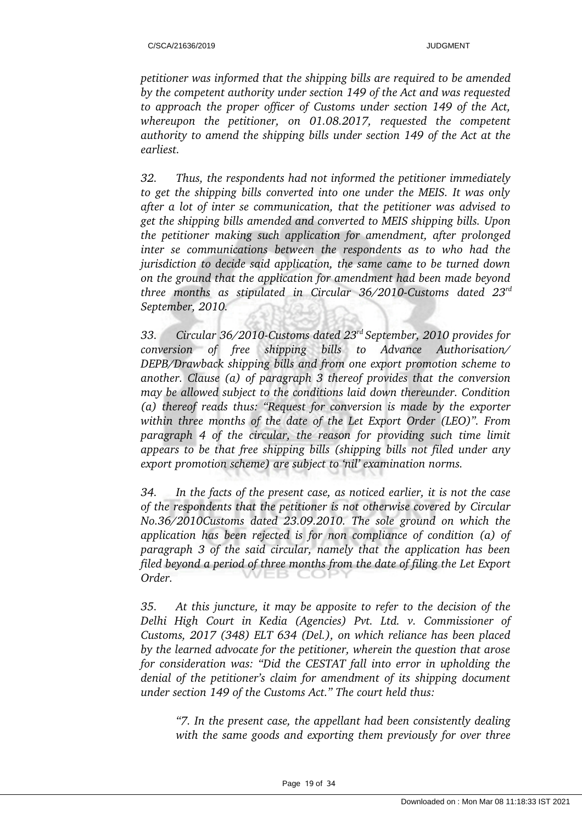*petitioner was informed that the shipping bills are required to be amended by the competent authority under section 149 of the Act and was requested to approach the proper officer of Customs under section 149 of the Act, whereupon the petitioner, on 01.08.2017, requested the competent authority to amend the shipping bills under section 149 of the Act at the earliest.*

*32. Thus, the respondents had not informed the petitioner immediately to get the shipping bills converted into one under the MEIS. It was only after a lot of inter se communication, that the petitioner was advised to get the shipping bills amended and converted to MEIS shipping bills. Upon the petitioner making such application for amendment, after prolonged inter se communications between the respondents as to who had the jurisdiction to decide said application, the same came to be turned down on the ground that the application for amendment had been made beyond three months as stipulated in Circular 36/2010-Customs dated 23<sup>rd</sup> September, 2010.*

33. *Circular 36/2010-Customs dated 23<sup>rd</sup> September, 2010 provides for conversion of free shipping bills to Advance Authorisation/ DEPB/Drawback shipping bills and from one export promotion scheme to another. Clause (a) of paragraph 3 thereof provides that the conversion may be allowed subject to the conditions laid down thereunder. Condition (a) thereof reads thus: "Request for conversion is made by the exporter within three months of the date of the Let Export Order (LEO)". From paragraph 4 of the circular, the reason for providing such time limit appears to be that free shipping bills (shipping bills not filed under any export promotion scheme) are subject to 'nil' examination norms.*

*34. In the facts of the present case, as noticed earlier, it is not the case of the respondents that the petitioner is not otherwise covered by Circular No.36/2010Customs dated 23.09.2010. The sole ground on which the application has been rejected is for non compliance of condition (a) of paragraph 3 of the said circular, namely that the application has been filed beyond a period of three months from the date of filing the Let Export Order.*

*35. At this juncture, it may be apposite to refer to the decision of the Delhi High Court in Kedia (Agencies) Pvt. Ltd. v. Commissioner of Customs, 2017 (348) ELT 634 (Del.), on which reliance has been placed by the learned advocate for the petitioner, wherein the question that arose for consideration was: "Did the CESTAT fall into error in upholding the denial of the petitioner's claim for amendment of its shipping document under section 149 of the Customs Act." The court held thus:*

*"7. In the present case, the appellant had been consistently dealing with the same goods and exporting them previously for over three*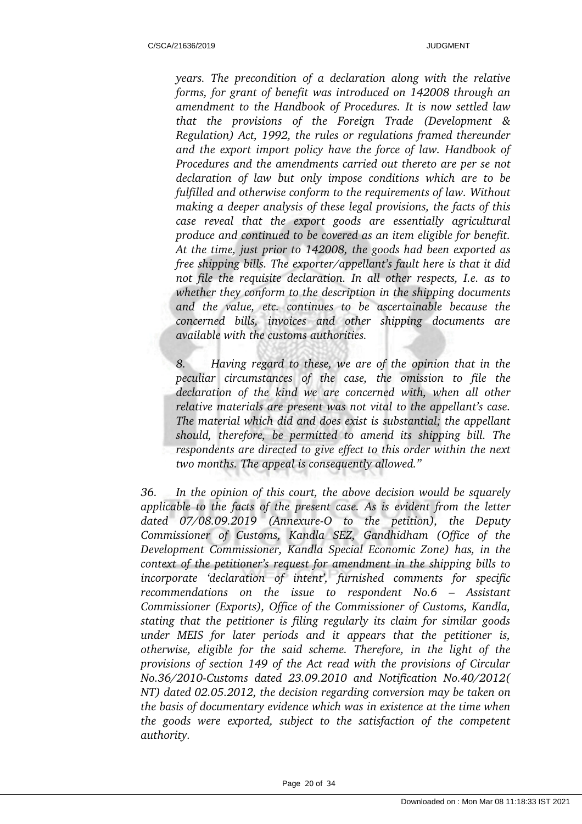*years. The precondition of a declaration along with the relative forms, for grant of benefit was introduced on 142008 through an amendment to the Handbook of Procedures. It is now settled law that the provisions of the Foreign Trade (Development & Regulation) Act, 1992, the rules or regulations framed thereunder and the export import policy have the force of law. Handbook of Procedures and the amendments carried out thereto are per se not declaration of law but only impose conditions which are to be fulfilled and otherwise conform to the requirements of law. Without making a deeper analysis of these legal provisions, the facts of this case reveal that the export goods are essentially agricultural produce and continued to be covered as an item eligible for benefit. At the time, just prior to 142008, the goods had been exported as free shipping bills. The exporter/appellant's fault here is that it did not file the requisite declaration. In all other respects, I.e. as to whether they conform to the description in the shipping documents and the value, etc. continues to be ascertainable because the concerned bills, invoices and other shipping documents are available with the customs authorities.*

*8. Having regard to these, we are of the opinion that in the peculiar circumstances of the case, the omission to file the declaration of the kind we are concerned with, when all other relative materials are present was not vital to the appellant's case. The material which did and does exist is substantial; the appellant should, therefore, be permitted to amend its shipping bill. The respondents are directed to give effect to this order within the next two months. The appeal is consequently allowed."*

*36. In the opinion of this court, the above decision would be squarely applicable to the facts of the present case. As is evident from the letter* dated 07/08.09.2019 (Annexure-O to the petition), the Deputy *Commissioner of Customs, Kandla SEZ, Gandhidham (Office of the Development Commissioner, Kandla Special Economic Zone) has, in the context of the petitioner's request for amendment in the shipping bills to incorporate 'declaration of intent', furnished comments for specific recommendations on the issue to respondent No.6 – Assistant Commissioner (Exports), Office of the Commissioner of Customs, Kandla, stating that the petitioner is filing regularly its claim for similar goods under MEIS for later periods and it appears that the petitioner is, otherwise, eligible for the said scheme. Therefore, in the light of the provisions of section 149 of the Act read with the provisions of Circular No.36/2010-Customs dated 23.09.2010 and Notification No.40/2012( NT) dated 02.05.2012, the decision regarding conversion may be taken on the basis of documentary evidence which was in existence at the time when the goods were exported, subject to the satisfaction of the competent authority.*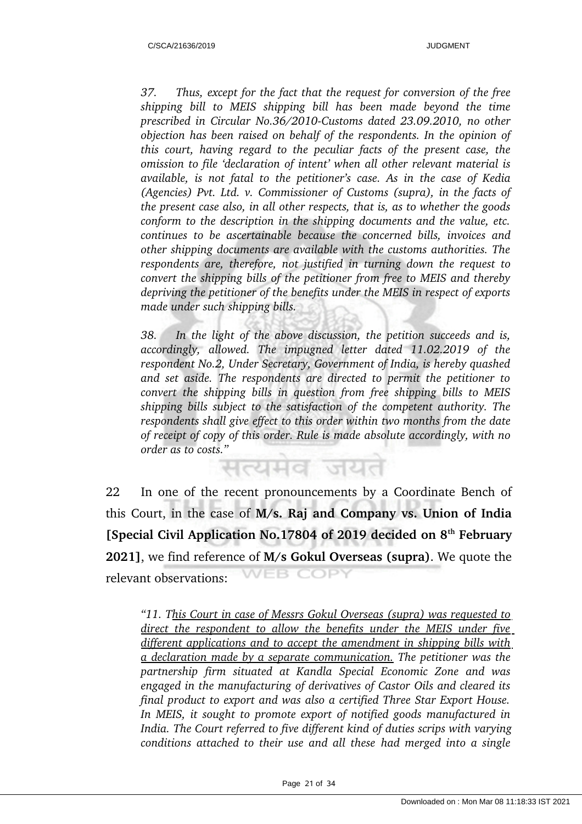*37. Thus, except for the fact that the request for conversion of the free shipping bill to MEIS shipping bill has been made beyond the time prescribed in Circular No.36/2010-Customs dated 23.09.2010, no other objection has been raised on behalf of the respondents. In the opinion of this court, having regard to the peculiar facts of the present case, the omission to file 'declaration of intent' when all other relevant material is available, is not fatal to the petitioner's case. As in the case of Kedia (Agencies) Pvt. Ltd. v. Commissioner of Customs (supra), in the facts of the present case also, in all other respects, that is, as to whether the goods conform to the description in the shipping documents and the value, etc. continues to be ascertainable because the concerned bills, invoices and other shipping documents are available with the customs authorities. The respondents are, therefore, not justified in turning down the request to convert the shipping bills of the petitioner from free to MEIS and thereby depriving the petitioner of the benefits under the MEIS in respect of exports made under such shipping bills.*

*38. In the light of the above discussion, the petition succeeds and is, accordingly, allowed. The impugned letter dated 11.02.2019 of the respondent No.2, Under Secretary, Government of India, is hereby quashed and set aside. The respondents are directed to permit the petitioner to convert the shipping bills in question from free shipping bills to MEIS shipping bills subject to the satisfaction of the competent authority. The respondents shall give effect to this order within two months from the date of receipt of copy of this order. Rule is made absolute accordingly, with no order as to costs."*

22 In one of the recent pronouncements by a Coordinate Bench of this Court, in the case of **M/s. Raj and Company vs. Union of India [Special Civil Application No.17804 of 2019 decided on 8th February 2021]**, we find reference of **M/s Gokul Overseas (supra)**. We quote the relevant observations:

cutic v

*"11. T his Court in case of Messrs Gokul Overseas (supra) was requested to direct the respondent to allow the benefits under the MEIS under five different applications and to accept the amendment in shipping bills with a declaration made by a separate communication. The petitioner was the partnership firm situated at Kandla Special Economic Zone and was engaged in the manufacturing of derivatives of Castor Oils and cleared its final product to export and was also a certified Three Star Export House. In MEIS, it sought to promote export of notified goods manufactured in India. The Court referred to five different kind of duties scrips with varying conditions attached to their use and all these had merged into a single*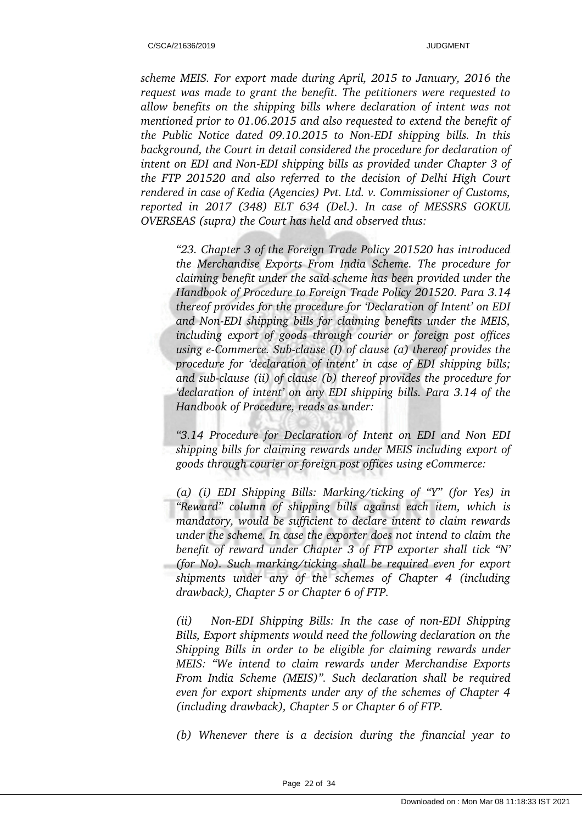*scheme MEIS. For export made during April, 2015 to January, 2016 the request was made to grant the benefit. The petitioners were requested to allow benefits on the shipping bills where declaration of intent was not mentioned prior to 01.06.2015 and also requested to extend the benefit of the Public Notice dated 09.10.2015 to NonEDI shipping bills. In this background, the Court in detail considered the procedure for declaration of intent on EDI and NonEDI shipping bills as provided under Chapter 3 of the FTP 201520 and also referred to the decision of Delhi High Court rendered in case of Kedia (Agencies) Pvt. Ltd. v. Commissioner of Customs, reported in 2017 (348) ELT 634 (Del.). In case of MESSRS GOKUL OVERSEAS (supra) the Court has held and observed thus:*

*"23. Chapter 3 of the Foreign Trade Policy 201520 has introduced the Merchandise Exports From India Scheme. The procedure for claiming benefit under the said scheme has been provided under the Handbook of Procedure to Foreign Trade Policy 201520. Para 3.14 thereof provides for the procedure for 'Declaration of Intent' on EDI and NonEDI shipping bills for claiming benefits under the MEIS, including export of goods through courier or foreign post offices using e-Commerce. Sub-clause (I) of clause (a) thereof provides the procedure for 'declaration of intent' in case of EDI shipping bills;* and sub-clause (ii) of clause (b) thereof provides the procedure for *'declaration of intent' on any EDI shipping bills. Para 3.14 of the Handbook of Procedure, reads as under:* 

*"3.14 Procedure for Declaration of Intent on EDI and Non EDI shipping bills for claiming rewards under MEIS including export of goods through courier or foreign post offices using eCommerce:*

*(a) (i) EDI Shipping Bills: Marking/ticking of "Y" (for Yes) in "Reward" column of shipping bills against each item, which is mandatory, would be sufficient to declare intent to claim rewards under the scheme. In case the exporter does not intend to claim the benefit of reward under Chapter 3 of FTP exporter shall tick "N' (for No). Such marking/ticking shall be required even for export shipments under any of the schemes of Chapter 4 (including drawback), Chapter 5 or Chapter 6 of FTP.*

*(ii) NonEDI Shipping Bills: In the case of nonEDI Shipping Bills, Export shipments would need the following declaration on the Shipping Bills in order to be eligible for claiming rewards under MEIS: "We intend to claim rewards under Merchandise Exports From India Scheme (MEIS)". Such declaration shall be required even for export shipments under any of the schemes of Chapter 4 (including drawback), Chapter 5 or Chapter 6 of FTP.*

*(b) Whenever there is a decision during the financial year to*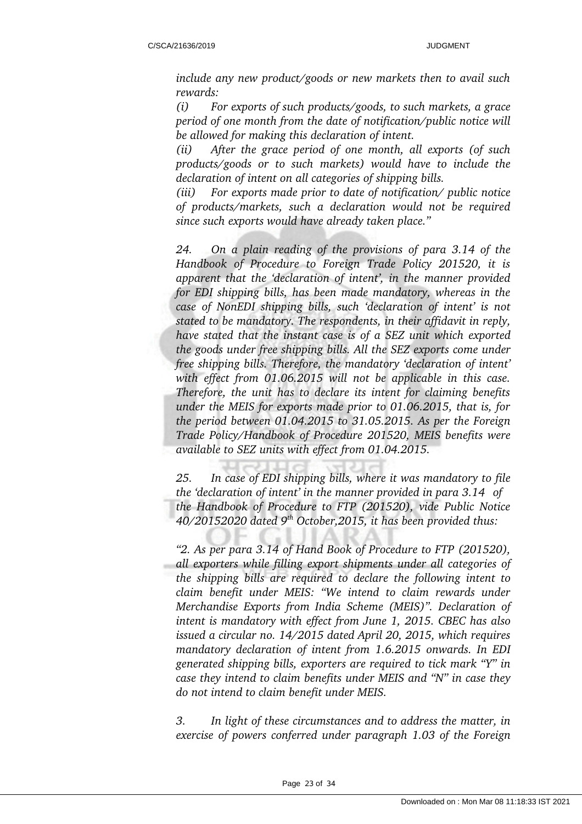*include any new product/goods or new markets then to avail such rewards:*

*(i) For exports of such products/goods, to such markets, a grace period of one month from the date of notification/public notice will be allowed for making this declaration of intent.*

*(ii) After the grace period of one month, all exports (of such products/goods or to such markets) would have to include the declaration of intent on all categories of shipping bills.*

*(iii) For exports made prior to date of notification/ public notice of products/markets, such a declaration would not be required since such exports would have already taken place."*

*24. On a plain reading of the provisions of para 3.14 of the Handbook of Procedure to Foreign Trade Policy 201520, it is apparent that the 'declaration of intent', in the manner provided for EDI shipping bills, has been made mandatory, whereas in the case of NonEDI shipping bills, such 'declaration of intent' is not stated to be mandatory. The respondents, in their affidavit in reply, have stated that the instant case is of a SEZ unit which exported the goods under free shipping bills. All the SEZ exports come under free shipping bills. Therefore, the mandatory 'declaration of intent' with effect from 01.06.2015 will not be applicable in this case. Therefore, the unit has to declare its intent for claiming benefits under the MEIS for exports made prior to 01.06.2015, that is, for the period between 01.04.2015 to 31.05.2015. As per the Foreign Trade Policy/Handbook of Procedure 201520, MEIS benefits were available to SEZ units with effect from 01.04.2015.*

*25. In case of EDI shipping bills, where it was mandatory to file the 'declaration of intent' in the manner provided in para 3.14 of the Handbook of Procedure to FTP (201520), vide Public Notice 40/20152020 dated 9th October,2015, it has been provided thus:*

*"2. As per para 3.14 of Hand Book of Procedure to FTP (201520), all exporters while filling export shipments under all categories of the shipping bills are required to declare the following intent to claim benefit under MEIS: "We intend to claim rewards under Merchandise Exports from India Scheme (MEIS)". Declaration of intent is mandatory with effect from June 1, 2015. CBEC has also issued a circular no. 14/2015 dated April 20, 2015, which requires mandatory declaration of intent from 1.6.2015 onwards. In EDI generated shipping bills, exporters are required to tick mark "Y" in case they intend to claim benefits under MEIS and "N" in case they do not intend to claim benefit under MEIS.*

*3. In light of these circumstances and to address the matter, in exercise of powers conferred under paragraph 1.03 of the Foreign*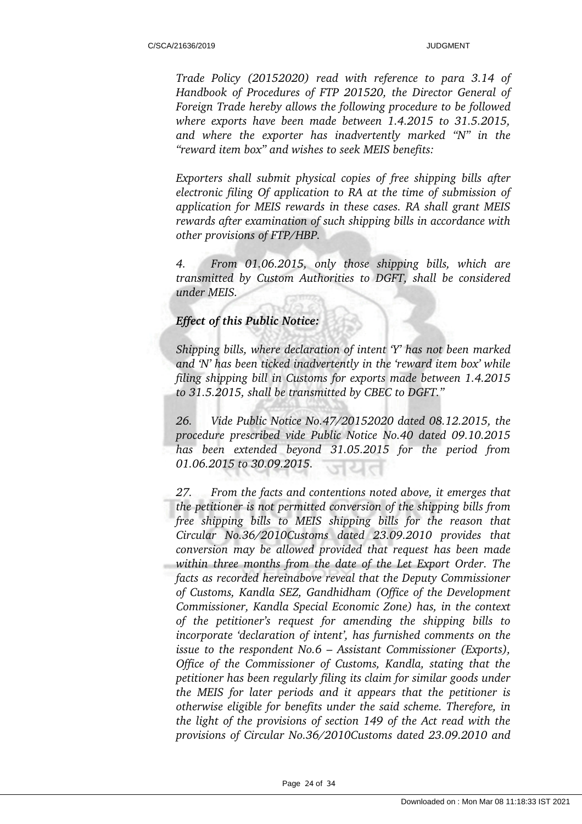*Trade Policy (20152020) read with reference to para 3.14 of Handbook of Procedures of FTP 201520, the Director General of Foreign Trade hereby allows the following procedure to be followed where exports have been made between 1.4.2015 to 31.5.2015, and where the exporter has inadvertently marked "N" in the "reward item box" and wishes to seek MEIS benefits:*

*Exporters shall submit physical copies of free shipping bills after electronic filing Of application to RA at the time of submission of application for MEIS rewards in these cases. RA shall grant MEIS rewards after examination of such shipping bills in accordance with other provisions of FTP/HBP.*

*4. From 01.06.2015, only those shipping bills, which are transmitted by Custom Authorities to DGFT, shall be considered under MEIS.*

# *Effect of this Public Notice:*

*Shipping bills, where declaration of intent 'Y' has not been marked and 'N' has been ticked inadvertently in the 'reward item box' while filing shipping bill in Customs for exports made between 1.4.2015 to 31.5.2015, shall be transmitted by CBEC to DGFT."*

*26. Vide Public Notice No.47/20152020 dated 08.12.2015, the procedure prescribed vide Public Notice No.40 dated 09.10.2015 has been extended beyond 31.05.2015 for the period from 01.06.2015 to 30.09.2015.*

*27. From the facts and contentions noted above, it emerges that the petitioner is not permitted conversion of the shipping bills from free shipping bills to MEIS shipping bills for the reason that Circular No.36/2010Customs dated 23.09.2010 provides that conversion may be allowed provided that request has been made within three months from the date of the Let Export Order. The facts as recorded hereinabove reveal that the Deputy Commissioner of Customs, Kandla SEZ, Gandhidham (Office of the Development Commissioner, Kandla Special Economic Zone) has, in the context of the petitioner's request for amending the shipping bills to incorporate 'declaration of intent', has furnished comments on the issue to the respondent No.6 – Assistant Commissioner (Exports), Office of the Commissioner of Customs, Kandla, stating that the petitioner has been regularly filing its claim for similar goods under the MEIS for later periods and it appears that the petitioner is otherwise eligible for benefits under the said scheme. Therefore, in the light of the provisions of section 149 of the Act read with the provisions of Circular No.36/2010Customs dated 23.09.2010 and*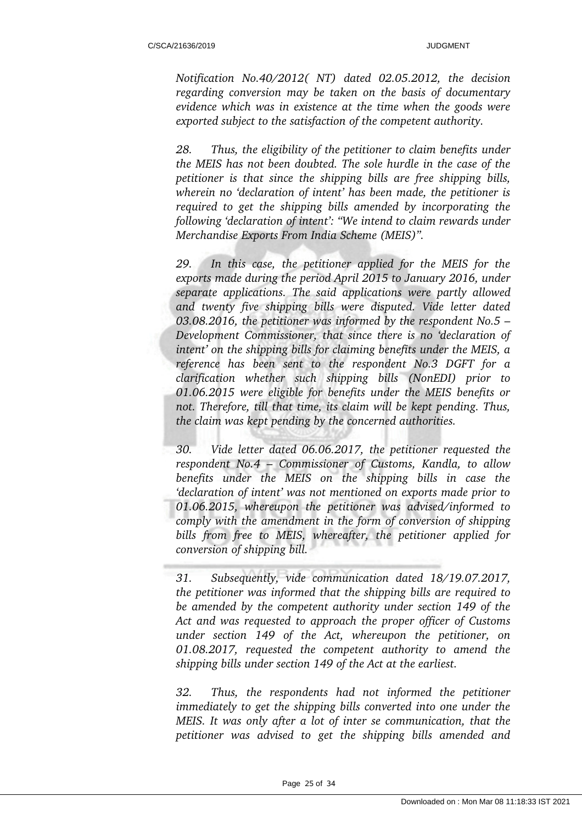*Notification No.40/2012( NT) dated 02.05.2012, the decision regarding conversion may be taken on the basis of documentary evidence which was in existence at the time when the goods were exported subject to the satisfaction of the competent authority.*

*28. Thus, the eligibility of the petitioner to claim benefits under the MEIS has not been doubted. The sole hurdle in the case of the petitioner is that since the shipping bills are free shipping bills, wherein no 'declaration of intent' has been made, the petitioner is required to get the shipping bills amended by incorporating the following 'declaration of intent': "We intend to claim rewards under Merchandise Exports From India Scheme (MEIS)".*

*29. In this case, the petitioner applied for the MEIS for the exports made during the period April 2015 to January 2016, under separate applications. The said applications were partly allowed and twenty five shipping bills were disputed. Vide letter dated 03.08.2016, the petitioner was informed by the respondent No.5 – Development Commissioner, that since there is no 'declaration of intent' on the shipping bills for claiming benefits under the MEIS, a reference has been sent to the respondent No.3 DGFT for a clarification whether such shipping bills (NonEDI) prior to 01.06.2015 were eligible for benefits under the MEIS benefits or not. Therefore, till that time, its claim will be kept pending. Thus, the claim was kept pending by the concerned authorities.*

*30. Vide letter dated 06.06.2017, the petitioner requested the respondent No.4 – Commissioner of Customs, Kandla, to allow benefits under the MEIS on the shipping bills in case the 'declaration of intent' was not mentioned on exports made prior to 01.06.2015, whereupon the petitioner was advised/informed to comply with the amendment in the form of conversion of shipping bills from free to MEIS, whereafter, the petitioner applied for conversion of shipping bill.*

*31. Subsequently, vide communication dated 18/19.07.2017, the petitioner was informed that the shipping bills are required to be amended by the competent authority under section 149 of the Act and was requested to approach the proper officer of Customs under section 149 of the Act, whereupon the petitioner, on 01.08.2017, requested the competent authority to amend the shipping bills under section 149 of the Act at the earliest.*

*32. Thus, the respondents had not informed the petitioner immediately to get the shipping bills converted into one under the MEIS. It was only after a lot of inter se communication, that the petitioner was advised to get the shipping bills amended and*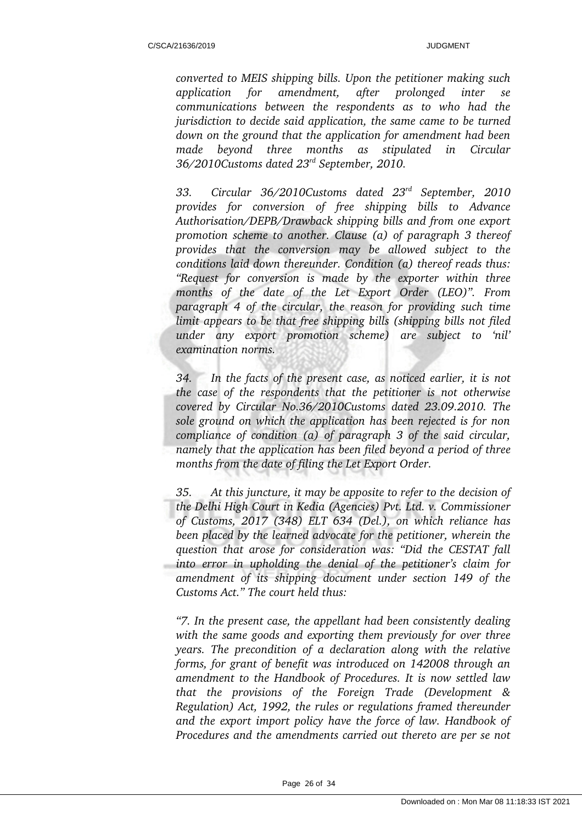*converted to MEIS shipping bills. Upon the petitioner making such application for amendment, after prolonged inter se communications between the respondents as to who had the jurisdiction to decide said application, the same came to be turned down on the ground that the application for amendment had been made beyond three months as stipulated in Circular 36/2010Customs dated 23rd September, 2010.*

*33. Circular 36/2010Customs dated 23rd September, 2010 provides for conversion of free shipping bills to Advance Authorisation/DEPB/Drawback shipping bills and from one export promotion scheme to another. Clause (a) of paragraph 3 thereof provides that the conversion may be allowed subject to the conditions laid down thereunder. Condition (a) thereof reads thus: "Request for conversion is made by the exporter within three months of the date of the Let Export Order (LEO)". From paragraph 4 of the circular, the reason for providing such time limit appears to be that free shipping bills (shipping bills not filed under any export promotion scheme) are subject to 'nil' examination norms.*

*34. In the facts of the present case, as noticed earlier, it is not the case of the respondents that the petitioner is not otherwise covered by Circular No.36/2010Customs dated 23.09.2010. The sole ground on which the application has been rejected is for non compliance of condition (a) of paragraph 3 of the said circular, namely that the application has been filed beyond a period of three months from the date of filing the Let Export Order.*

*35. At this juncture, it may be apposite to refer to the decision of the Delhi High Court in Kedia (Agencies) Pvt. Ltd. v. Commissioner of Customs, 2017 (348) ELT 634 (Del.), on which reliance has been placed by the learned advocate for the petitioner, wherein the question that arose for consideration was: "Did the CESTAT fall into error in upholding the denial of the petitioner's claim for amendment of its shipping document under section 149 of the Customs Act." The court held thus:*

*"7. In the present case, the appellant had been consistently dealing with the same goods and exporting them previously for over three years. The precondition of a declaration along with the relative forms, for grant of benefit was introduced on 142008 through an amendment to the Handbook of Procedures. It is now settled law that the provisions of the Foreign Trade (Development & Regulation) Act, 1992, the rules or regulations framed thereunder and the export import policy have the force of law. Handbook of Procedures and the amendments carried out thereto are per se not*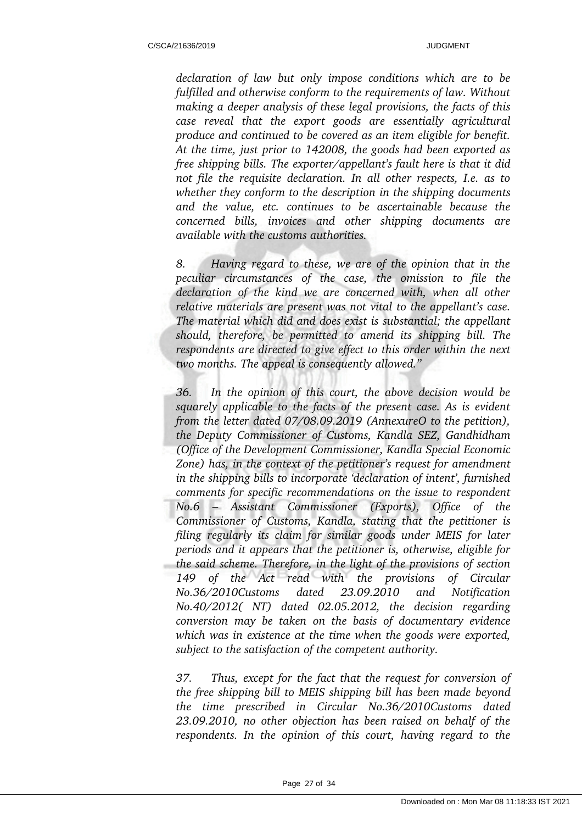*declaration of law but only impose conditions which are to be fulfilled and otherwise conform to the requirements of law. Without making a deeper analysis of these legal provisions, the facts of this case reveal that the export goods are essentially agricultural produce and continued to be covered as an item eligible for benefit. At the time, just prior to 142008, the goods had been exported as free shipping bills. The exporter/appellant's fault here is that it did not file the requisite declaration. In all other respects, I.e. as to whether they conform to the description in the shipping documents and the value, etc. continues to be ascertainable because the concerned bills, invoices and other shipping documents are available with the customs authorities.*

*8. Having regard to these, we are of the opinion that in the peculiar circumstances of the case, the omission to file the declaration of the kind we are concerned with, when all other relative materials are present was not vital to the appellant's case. The material which did and does exist is substantial; the appellant should, therefore, be permitted to amend its shipping bill. The respondents are directed to give effect to this order within the next two months. The appeal is consequently allowed."*

*36. In the opinion of this court, the above decision would be squarely applicable to the facts of the present case. As is evident from the letter dated 07/08.09.2019 (AnnexureO to the petition), the Deputy Commissioner of Customs, Kandla SEZ, Gandhidham (Office of the Development Commissioner, Kandla Special Economic Zone) has, in the context of the petitioner's request for amendment in the shipping bills to incorporate 'declaration of intent', furnished comments for specific recommendations on the issue to respondent No.6 – Assistant Commissioner (Exports), Office of the Commissioner of Customs, Kandla, stating that the petitioner is filing regularly its claim for similar goods under MEIS for later periods and it appears that the petitioner is, otherwise, eligible for the said scheme. Therefore, in the light of the provisions of section 149 of the Act read with the provisions of Circular No.36/2010Customs dated 23.09.2010 and Notification No.40/2012( NT) dated 02.05.2012, the decision regarding conversion may be taken on the basis of documentary evidence which was in existence at the time when the goods were exported, subject to the satisfaction of the competent authority.*

*37. Thus, except for the fact that the request for conversion of the free shipping bill to MEIS shipping bill has been made beyond the time prescribed in Circular No.36/2010Customs dated 23.09.2010, no other objection has been raised on behalf of the respondents. In the opinion of this court, having regard to the*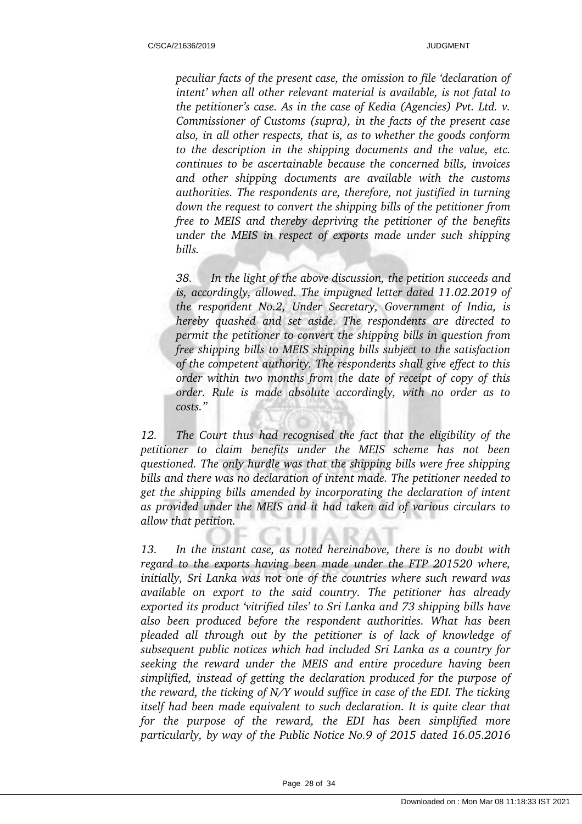*peculiar facts of the present case, the omission to file 'declaration of intent' when all other relevant material is available, is not fatal to the petitioner's case. As in the case of Kedia (Agencies) Pvt. Ltd. v. Commissioner of Customs (supra), in the facts of the present case also, in all other respects, that is, as to whether the goods conform to the description in the shipping documents and the value, etc. continues to be ascertainable because the concerned bills, invoices and other shipping documents are available with the customs authorities. The respondents are, therefore, not justified in turning down the request to convert the shipping bills of the petitioner from free to MEIS and thereby depriving the petitioner of the benefits under the MEIS in respect of exports made under such shipping bills.*

*38. In the light of the above discussion, the petition succeeds and is, accordingly, allowed. The impugned letter dated 11.02.2019 of the respondent No.2, Under Secretary, Government of India, is hereby quashed and set aside. The respondents are directed to permit the petitioner to convert the shipping bills in question from free shipping bills to MEIS shipping bills subject to the satisfaction of the competent authority. The respondents shall give effect to this order within two months from the date of receipt of copy of this order. Rule is made absolute accordingly, with no order as to costs."*

*12. The Court thus had recognised the fact that the eligibility of the petitioner to claim benefits under the MEIS scheme has not been questioned. The only hurdle was that the shipping bills were free shipping bills and there was no declaration of intent made. The petitioner needed to get the shipping bills amended by incorporating the declaration of intent as provided under the MEIS and it had taken aid of various circulars to allow that petition.*

*13. In the instant case, as noted hereinabove, there is no doubt with regard to the exports having been made under the FTP 201520 where, initially, Sri Lanka was not one of the countries where such reward was available on export to the said country. The petitioner has already exported its product 'vitrified tiles' to Sri Lanka and 73 shipping bills have also been produced before the respondent authorities. What has been pleaded all through out by the petitioner is of lack of knowledge of subsequent public notices which had included Sri Lanka as a country for seeking the reward under the MEIS and entire procedure having been simplified, instead of getting the declaration produced for the purpose of the reward, the ticking of N/Y would suffice in case of the EDI. The ticking itself had been made equivalent to such declaration. It is quite clear that for the purpose of the reward, the EDI has been simplified more particularly, by way of the Public Notice No.9 of 2015 dated 16.05.2016*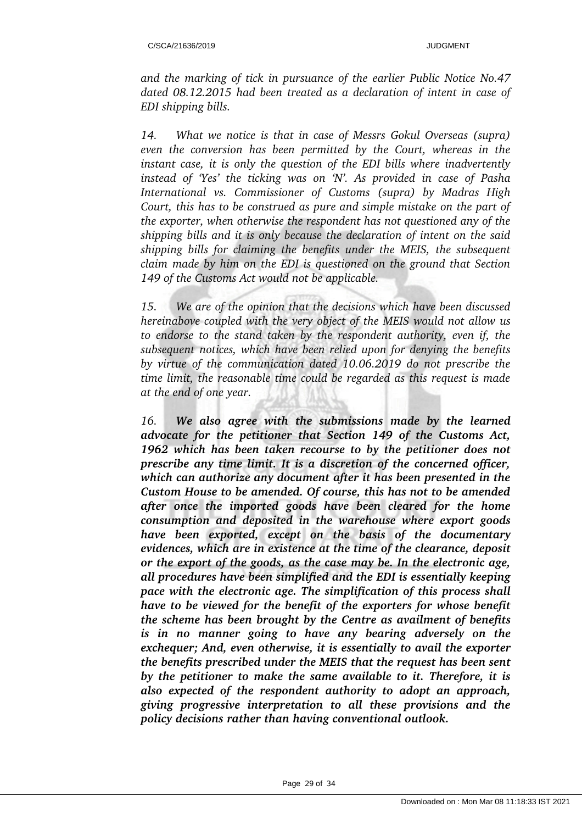*and the marking of tick in pursuance of the earlier Public Notice No.47 dated 08.12.2015 had been treated as a declaration of intent in case of EDI shipping bills.*

*14. What we notice is that in case of Messrs Gokul Overseas (supra) even the conversion has been permitted by the Court, whereas in the instant case, it is only the question of the EDI bills where inadvertently instead of 'Yes' the ticking was on 'N'. As provided in case of Pasha International vs. Commissioner of Customs (supra) by Madras High Court, this has to be construed as pure and simple mistake on the part of the exporter, when otherwise the respondent has not questioned any of the shipping bills and it is only because the declaration of intent on the said shipping bills for claiming the benefits under the MEIS, the subsequent claim made by him on the EDI is questioned on the ground that Section 149 of the Customs Act would not be applicable.*

*15. We are of the opinion that the decisions which have been discussed hereinabove coupled with the very object of the MEIS would not allow us to endorse to the stand taken by the respondent authority, even if, the subsequent notices, which have been relied upon for denying the benefits by virtue of the communication dated 10.06.2019 do not prescribe the time limit, the reasonable time could be regarded as this request is made at the end of one year.*

*16. We also agree with the submissions made by the learned advocate for the petitioner that Section 149 of the Customs Act, 1962 which has been taken recourse to by the petitioner does not prescribe any time limit. It is a discretion of the concerned officer, which can authorize any document after it has been presented in the Custom House to be amended. Of course, this has not to be amended after once the imported goods have been cleared for the home consumption and deposited in the warehouse where export goods have been exported, except on the basis of the documentary evidences, which are in existence at the time of the clearance, deposit or the export of the goods, as the case may be. In the electronic age, all procedures have been simplified and the EDI is essentially keeping pace with the electronic age. The simplification of this process shall have to be viewed for the benefit of the exporters for whose benefit the scheme has been brought by the Centre as availment of benefits is in no manner going to have any bearing adversely on the exchequer; And, even otherwise, it is essentially to avail the exporter the benefits prescribed under the MEIS that the request has been sent by the petitioner to make the same available to it. Therefore, it is also expected of the respondent authority to adopt an approach, giving progressive interpretation to all these provisions and the policy decisions rather than having conventional outlook.*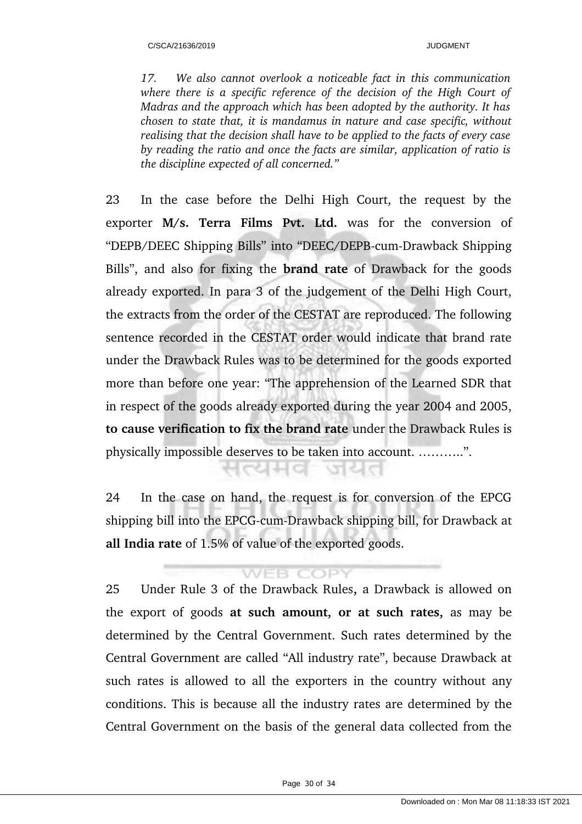*17. We also cannot overlook a noticeable fact in this communication where there is a specific reference of the decision of the High Court of Madras and the approach which has been adopted by the authority. It has chosen to state that, it is mandamus in nature and case specific, without realising that the decision shall have to be applied to the facts of every case by reading the ratio and once the facts are similar, application of ratio is the discipline expected of all concerned."*

23 In the case before the Delhi High Court, the request by the exporter M/s. Terra Films Pvt. Ltd. was for the conversion of "DEPB/DEEC Shipping Bills" into "DEEC/DEPB-cum-Drawback Shipping Bills", and also for fixing the **brand rate** of Drawback for the goods already exported. In para 3 of the judgement of the Delhi High Court, the extracts from the order of the CESTAT are reproduced. The following sentence recorded in the CESTAT order would indicate that brand rate under the Drawback Rules was to be determined for the goods exported more than before one year: "The apprehension of the Learned SDR that in respect of the goods already exported during the year 2004 and 2005, **to cause verification to fix the brand rate** under the Drawback Rules is physically impossible deserves to be taken into account. ………..".

24 In the case on hand, the request is for conversion of the EPCG shipping bill into the EPCG-cum-Drawback shipping bill, for Drawback at **all India rate** of 1.5% of value of the exported goods.

जयत

# **WEB COPY**

146

25 Under Rule 3 of the Drawback Rules**,** a Drawback is allowed on the export of goods **at such amount, or at such rates,** as may be determined by the Central Government. Such rates determined by the Central Government are called "All industry rate", because Drawback at such rates is allowed to all the exporters in the country without any conditions. This is because all the industry rates are determined by the Central Government on the basis of the general data collected from the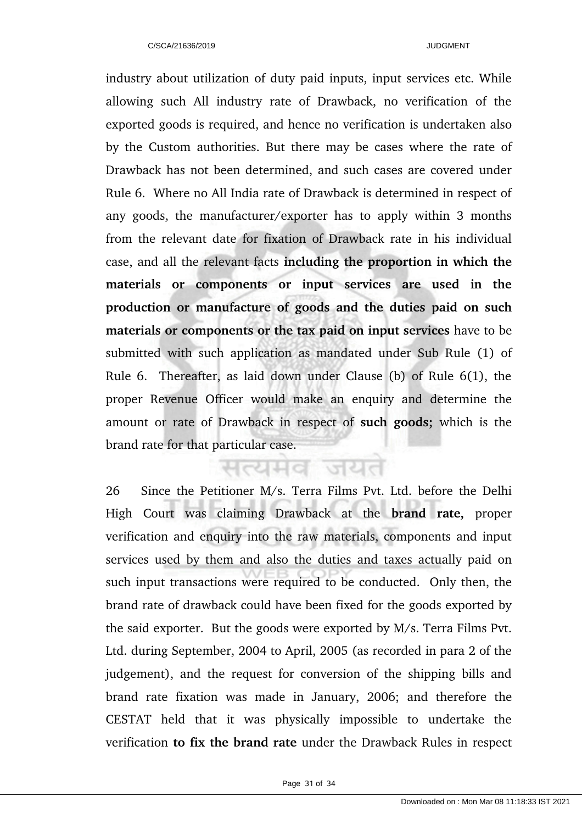industry about utilization of duty paid inputs, input services etc. While allowing such All industry rate of Drawback, no verification of the exported goods is required, and hence no verification is undertaken also by the Custom authorities. But there may be cases where the rate of Drawback has not been determined, and such cases are covered under Rule 6.Where no All India rate of Drawback is determined in respect of any goods, the manufacturer/exporter has to apply within 3 months from the relevant date for fixation of Drawback rate in his individual case, and all the relevant facts **including the proportion in which the materials or components or input services are used in the production or manufacture of goods and the duties paid on such materials or components or the tax paid on input services** have to be submitted with such application as mandated under Sub Rule (1) of Rule 6. Thereafter, as laid down under Clause (b) of Rule 6(1), the proper Revenue Officer would make an enquiry and determine the amount or rate of Drawback in respect of **such goods;** which is the brand rate for that particular case.

26 Since the Petitioner M/s. Terra Films Pvt. Ltd. before the Delhi High Court was claiming Drawback at the **brand rate,** proper verification and enquiry into the raw materials, components and input services used by them and also the duties and taxes actually paid on such input transactions were required to be conducted. Only then, the brand rate of drawback could have been fixed for the goods exported by the said exporter. But the goods were exported by M/s. Terra Films Pvt. Ltd. during September, 2004 to April, 2005 (as recorded in para 2 of the judgement), and the request for conversion of the shipping bills and brand rate fixation was made in January, 2006; and therefore the CESTAT held that it was physically impossible to undertake the verification **to fix the brand rate** under the Drawback Rules in respect

ਸ਼ਟਪਸਰ ਯਪਟ

Page 31 of 34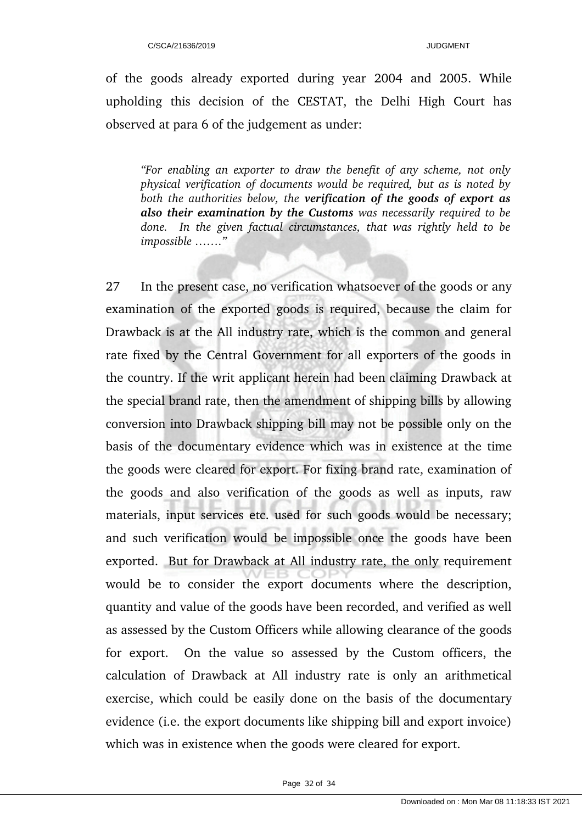of the goods already exported during year 2004 and 2005. While upholding this decision of the CESTAT, the Delhi High Court has observed at para 6 of the judgement as under:

*"For enabling an exporter to draw the benefit of any scheme, not only physical verification of documents would be required, but as is noted by both the authorities below, the verification of the goods of export as also their examination by the Customs was necessarily required to be done. In the given factual circumstances, that was rightly held to be impossible ……."*

27 In the present case, no verification whatsoever of the goods or any examination of the exported goods is required, because the claim for Drawback is at the All industry rate, which is the common and general rate fixed by the Central Government for all exporters of the goods in the country. If the writ applicant herein had been claiming Drawback at the special brand rate, then the amendment of shipping bills by allowing conversion into Drawback shipping bill may not be possible only on the basis of the documentary evidence which was in existence at the time the goods were cleared for export. For fixing brand rate, examination of the goods and also verification of the goods as well as inputs, raw materials, input services etc. used for such goods would be necessary; and such verification would be impossible once the goods have been exported. But for Drawback at All industry rate, the only requirement would be to consider the export documents where the description, quantity and value of the goods have been recorded, and verified as well as assessed by the Custom Officers while allowing clearance of the goods for export. On the value so assessed by the Custom officers, the calculation of Drawback at All industry rate is only an arithmetical exercise, which could be easily done on the basis of the documentary evidence (i.e. the export documents like shipping bill and export invoice) which was in existence when the goods were cleared for export.

Page 32 of 34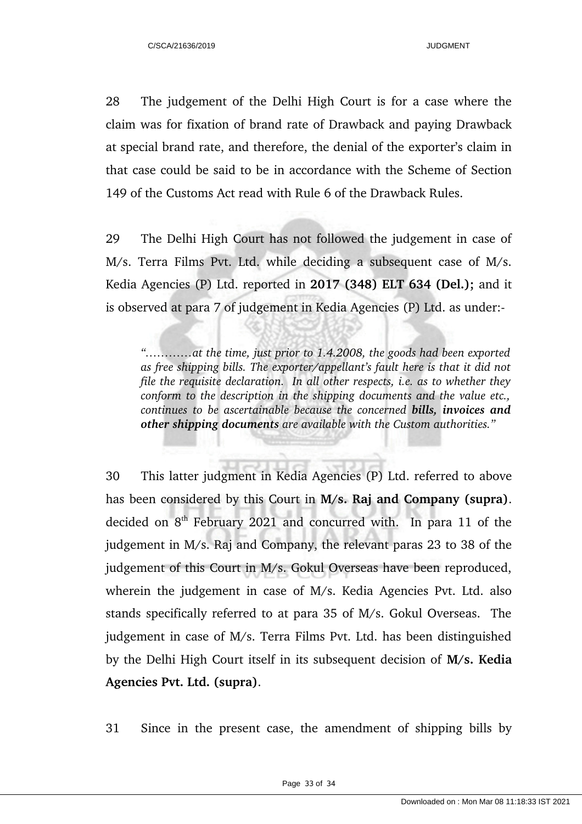28 The judgement of the Delhi High Court is for a case where the claim was for fixation of brand rate of Drawback and paying Drawback at special brand rate, and therefore, the denial of the exporter's claim in that case could be said to be in accordance with the Scheme of Section 149 of the Customs Act read with Rule 6 of the Drawback Rules.

29 The Delhi High Court has not followed the judgement in case of M/s. Terra Films Pvt. Ltd. while deciding a subsequent case of M/s. Kedia Agencies (P) Ltd. reported in **2017 (348) ELT 634 (Del.);** and it is observed at para 7 of judgement in Kedia Agencies (P) Ltd. as under:

*"…………at the time, just prior to 1.4.2008, the goods had been exported as free shipping bills. The exporter/appellant's fault here is that it did not file the requisite declaration. In all other respects, i.e. as to whether they conform to the description in the shipping documents and the value etc., continues to be ascertainable because the concerned bills, invoices and other shipping documents are available with the Custom authorities."* 

30 This latter judgment in Kedia Agencies (P) Ltd. referred to above has been considered by this Court in **M/s. Raj and Company (supra)**. decided on  $8<sup>th</sup>$  February 2021 and concurred with. In para 11 of the judgement in M/s. Raj and Company, the relevant paras 23 to 38 of the judgement of this Court in M/s. Gokul Overseas have been reproduced, wherein the judgement in case of M/s. Kedia Agencies Pvt. Ltd. also stands specifically referred to at para 35 of M/s. Gokul Overseas. The judgement in case of M/s. Terra Films Pvt. Ltd. has been distinguished by the Delhi High Court itself in its subsequent decision of **M/s. Kedia Agencies Pvt. Ltd. (supra)**.

31 Since in the present case, the amendment of shipping bills by